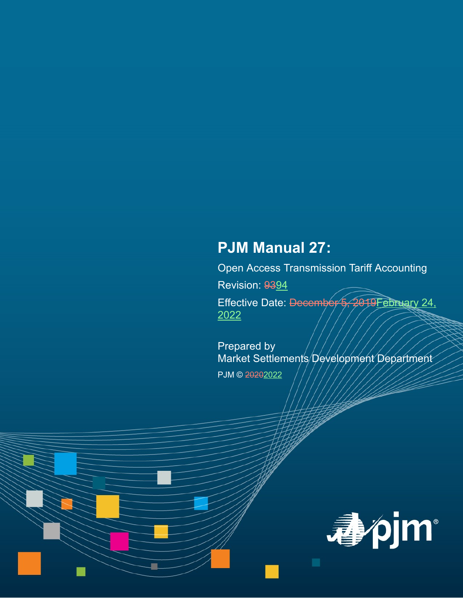# **PJM Manual 27:**

Open Access Transmission Tariff Accounting

Revision: 9394

Effective Date: December 5, 2019 February 24, 2022

Prepared by Market Settlements Development Department PJM © 20202022

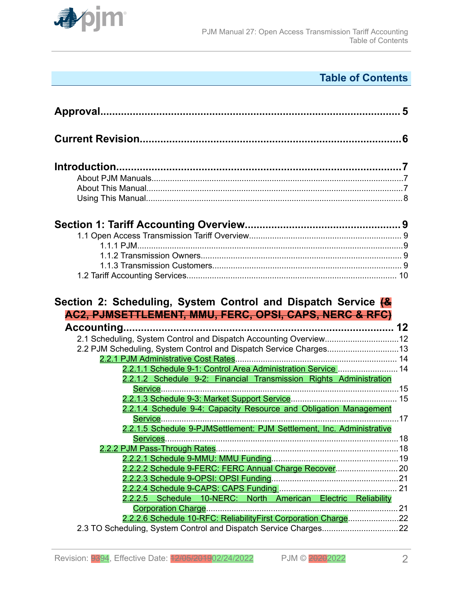

# **Table of Contents**

| 2.1 Scheduling, System Control and Dispatch Accounting Overview12<br>2.2 PJM Scheduling, System Control and Dispatch Service Charges13<br>2.2.1.1 Schedule 9-1: Control Area Administration Service  14<br>2.2.1.2 Schedule 9-2: Financial Transmission Rights Administration<br>2.2.1.4 Schedule 9-4: Capacity Resource and Obligation Management |  |
|----------------------------------------------------------------------------------------------------------------------------------------------------------------------------------------------------------------------------------------------------------------------------------------------------------------------------------------------------|--|
|                                                                                                                                                                                                                                                                                                                                                    |  |
| 2.2.1.5 Schedule 9-PJMSettlement: PJM Settlement, Inc. Administrative                                                                                                                                                                                                                                                                              |  |
|                                                                                                                                                                                                                                                                                                                                                    |  |
|                                                                                                                                                                                                                                                                                                                                                    |  |
|                                                                                                                                                                                                                                                                                                                                                    |  |
| 2.2.2.2 Schedule 9-FERC: FERC Annual Charge Recover 20                                                                                                                                                                                                                                                                                             |  |
|                                                                                                                                                                                                                                                                                                                                                    |  |
|                                                                                                                                                                                                                                                                                                                                                    |  |
| 2.2.2.5 Schedule 10-NERC: North American Electric Reliability                                                                                                                                                                                                                                                                                      |  |
|                                                                                                                                                                                                                                                                                                                                                    |  |
| 2.2.2.6 Schedule 10-RFC: ReliabilityFirst Corporation Charge22                                                                                                                                                                                                                                                                                     |  |
|                                                                                                                                                                                                                                                                                                                                                    |  |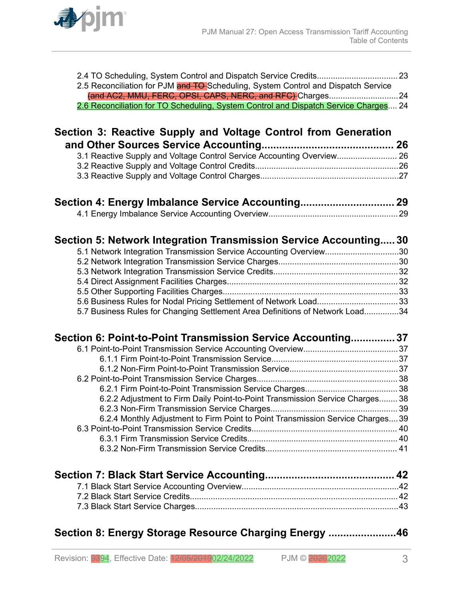

| 2.5 Reconciliation for PJM and TO-Scheduling, System Control and Dispatch Service                                                                  |  |
|----------------------------------------------------------------------------------------------------------------------------------------------------|--|
| 2.6 Reconciliation for TO Scheduling, System Control and Dispatch Service Charges 24                                                               |  |
| Section 3: Reactive Supply and Voltage Control from Generation                                                                                     |  |
| 3.1 Reactive Supply and Voltage Control Service Accounting Overview 26                                                                             |  |
|                                                                                                                                                    |  |
|                                                                                                                                                    |  |
| Section 4: Energy Imbalance Service Accounting 29                                                                                                  |  |
|                                                                                                                                                    |  |
| Section 5: Network Integration Transmission Service Accounting 30                                                                                  |  |
| 5.1 Network Integration Transmission Service Accounting Overview30                                                                                 |  |
|                                                                                                                                                    |  |
|                                                                                                                                                    |  |
|                                                                                                                                                    |  |
|                                                                                                                                                    |  |
| 5.6 Business Rules for Nodal Pricing Settlement of Network Load33<br>5.7 Business Rules for Changing Settlement Area Definitions of Network Load34 |  |
| Section 6: Point-to-Point Transmission Service Accounting 37                                                                                       |  |
|                                                                                                                                                    |  |
|                                                                                                                                                    |  |
|                                                                                                                                                    |  |
|                                                                                                                                                    |  |
|                                                                                                                                                    |  |
| 6.2.2 Adjustment to Firm Daily Point-to-Point Transmission Service Charges 38                                                                      |  |
|                                                                                                                                                    |  |
| 6.2.4 Monthly Adjustment to Firm Point to Point Transmission Service Charges 39                                                                    |  |
|                                                                                                                                                    |  |
|                                                                                                                                                    |  |
|                                                                                                                                                    |  |
|                                                                                                                                                    |  |
|                                                                                                                                                    |  |
|                                                                                                                                                    |  |
|                                                                                                                                                    |  |
| Section 8: Energy Storage Resource Charging Energy 46                                                                                              |  |

[2.4 TO Scheduling, System Control and Dispatch Service Credits................................... 23](#page-22-0)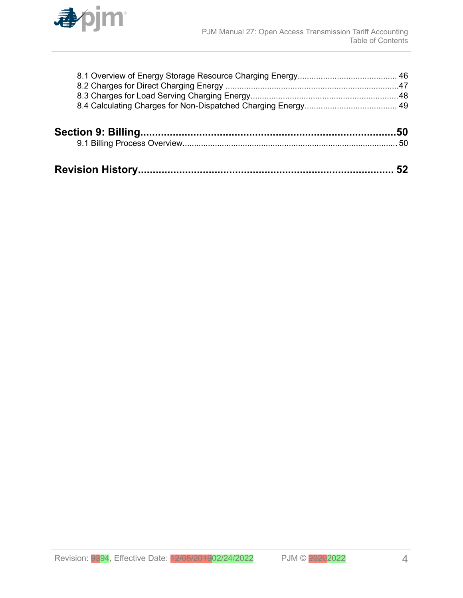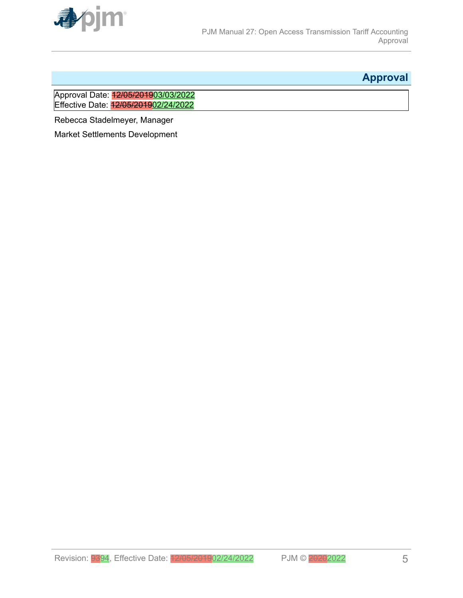<span id="page-4-0"></span>

## **Approval**

Approval Date: 12/05/201903/03/2022 Effective Date: 12/05/201902/24/2022

Rebecca Stadelmeyer, Manager

Market Settlements Development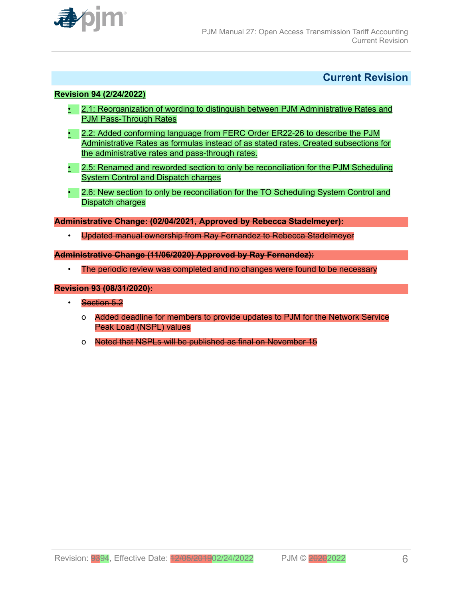<span id="page-5-0"></span>

## **Current Revision**

#### **Revision 94 (2/24/2022)**

- 2.1: Reorganization of wording to distinguish between PJM Administrative Rates and PJM Pass-Through Rates
- 2.2: Added conforming language from FERC Order ER22-26 to describe the PJM Administrative Rates as formulas instead of as stated rates. Created subsections for the administrative rates and pass-through rates.
- 2.5: Renamed and reworded section to only be reconciliation for the PJM Scheduling System Control and Dispatch charges
- 2.6: New section to only be reconciliation for the TO Scheduling System Control and Dispatch charges

**Administrative Change: (02/04/2021, Approved by Rebecca Stadelmeyer):**

• Updated manual ownership from Ray Fernandez to Rebecca Stadelmeyer

**Administrative Change (11/06/2020) Approved by Ray Fernandez):**

The periodic review was completed and no changes were found to be necessary

#### **Revision 93 (08/31/2020):**

- **Section 5.2** 
	- o Added deadline for members to provide updates to PJM for the Network Service Peak Load (NSPL) values
	- o Noted that NSPLs will be published as final on November 15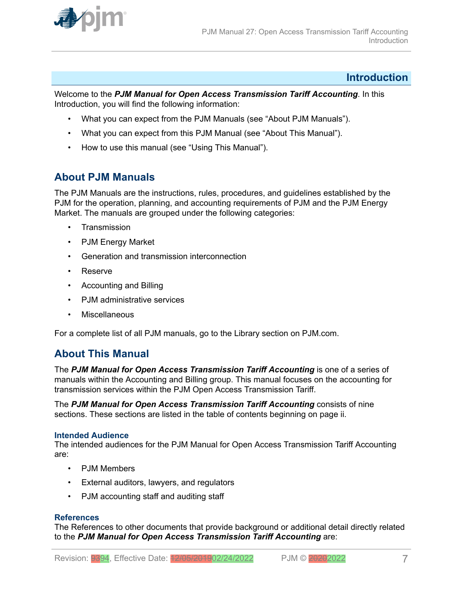<span id="page-6-0"></span>

## **Introduction**

Welcome to the *PJM Manual for Open Access Transmission Tariff Accounting*. In this Introduction, you will find the following information:

- What you can expect from the PJM Manuals (see "About PJM Manuals").
- What you can expect from this PJM Manual (see "About This Manual").
- How to use this manual (see "Using This Manual").

## **About PJM Manuals**

The PJM Manuals are the instructions, rules, procedures, and guidelines established by the PJM for the operation, planning, and accounting requirements of PJM and the PJM Energy Market. The manuals are grouped under the following categories:

- Transmission
- PJM Energy Market
- Generation and transmission interconnection
- Reserve
- Accounting and Billing
- PJM administrative services
- Miscellaneous

For a complete list of all PJM manuals, go to the Library section on PJM.com.

## **About This Manual**

The PJM Manual for Open Access Transmission Tariff Accounting is one of a series of manuals within the Accounting and Billing group. This manual focuses on the accounting for transmission services within the PJM Open Access Transmission Tariff.

The *PJM Manual for Open Access Transmission Tariff Accounting* consists of nine sections. These sections are listed in the table of contents beginning on page ii.

#### **Intended Audience**

The intended audiences for the PJM Manual for Open Access Transmission Tariff Accounting are:

- PJM Members
- External auditors, lawyers, and regulators
- PJM accounting staff and auditing staff

#### **References**

The References to other documents that provide background or additional detail directly related to the *PJM Manual for Open Access Transmission Tariff Accounting* are: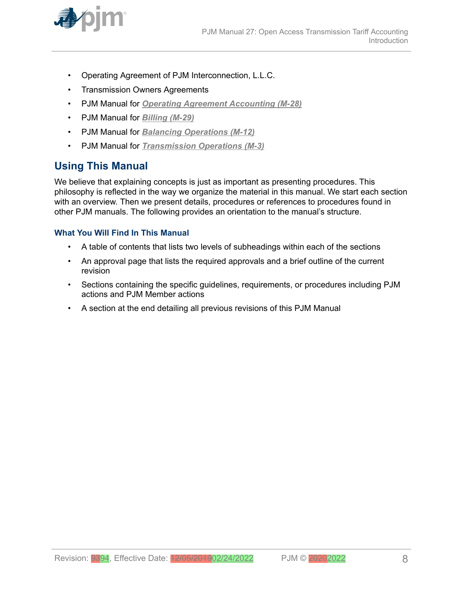<span id="page-7-0"></span>

- Operating Agreement of PJM Interconnection, L.L.C.
- Transmission Owners Agreements
- PJM Manual for *[Operating Agreement Accounting \(M-28\)](http://www.pjm.com/~/media/documents/manuals/m28.ashx)*
- PJM Manual for *[Billing \(M-29\)](http://www.pjm.com/~/media/documents/manuals/m29.ashx)*
- PJM Manual for *[Balancing Operations \(M-12\)](http://www.pjm.com/~/media/documents/manuals/m12.ashx)*
- PJM Manual for *[Transmission Operations \(M-3\)](http://www.pjm.com/~/media/documents/manuals/m03.ashx)*

## **Using This Manual**

We believe that explaining concepts is just as important as presenting procedures. This philosophy is reflected in the way we organize the material in this manual. We start each section with an overview. Then we present details, procedures or references to procedures found in other PJM manuals. The following provides an orientation to the manual's structure.

#### **What You Will Find In This Manual**

- A table of contents that lists two levels of subheadings within each of the sections
- An approval page that lists the required approvals and a brief outline of the current revision
- Sections containing the specific guidelines, requirements, or procedures including PJM actions and PJM Member actions
- A section at the end detailing all previous revisions of this PJM Manual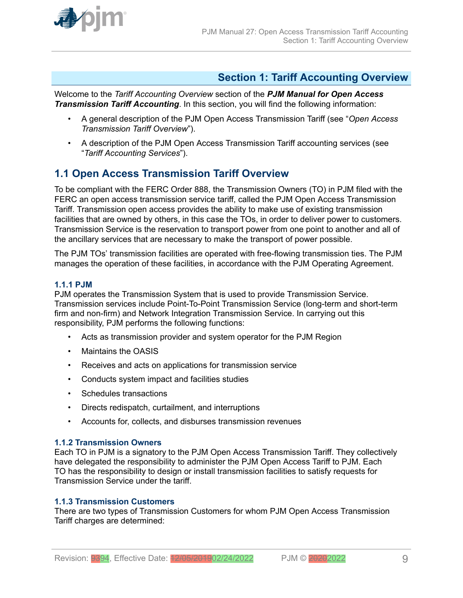<span id="page-8-0"></span>

## **Section 1: Tariff Accounting Overview**

Welcome to the *Tariff Accounting Overview* section of the *PJM Manual for Open Access Transmission Tariff Accounting*. In this section, you will find the following information:

- A general description of the PJM Open Access Transmission Tariff (see "*Open Access Transmission Tariff Overview*").
- A description of the PJM Open Access Transmission Tariff accounting services (see "*Tariff Accounting Services*").

## **1.1 Open Access Transmission Tariff Overview**

To be compliant with the FERC Order 888, the Transmission Owners (TO) in PJM filed with the FERC an open access transmission service tariff, called the PJM Open Access Transmission Tariff. Transmission open access provides the ability to make use of existing transmission facilities that are owned by others, in this case the TOs, in order to deliver power to customers. Transmission Service is the reservation to transport power from one point to another and all of the ancillary services that are necessary to make the transport of power possible.

The PJM TOs' transmission facilities are operated with free-flowing transmission ties. The PJM manages the operation of these facilities, in accordance with the PJM Operating Agreement.

### **1.1.1 PJM**

PJM operates the Transmission System that is used to provide Transmission Service. Transmission services include Point-To-Point Transmission Service (long-term and short-term firm and non-firm) and Network Integration Transmission Service. In carrying out this responsibility, PJM performs the following functions:

- Acts as transmission provider and system operator for the PJM Region
- Maintains the OASIS
- Receives and acts on applications for transmission service
- Conducts system impact and facilities studies
- Schedules transactions
- Directs redispatch, curtailment, and interruptions
- Accounts for, collects, and disburses transmission revenues

#### **1.1.2 Transmission Owners**

Each TO in PJM is a signatory to the PJM Open Access Transmission Tariff. They collectively have delegated the responsibility to administer the PJM Open Access Tariff to PJM. Each TO has the responsibility to design or install transmission facilities to satisfy requests for Transmission Service under the tariff.

### **1.1.3 Transmission Customers**

There are two types of Transmission Customers for whom PJM Open Access Transmission Tariff charges are determined: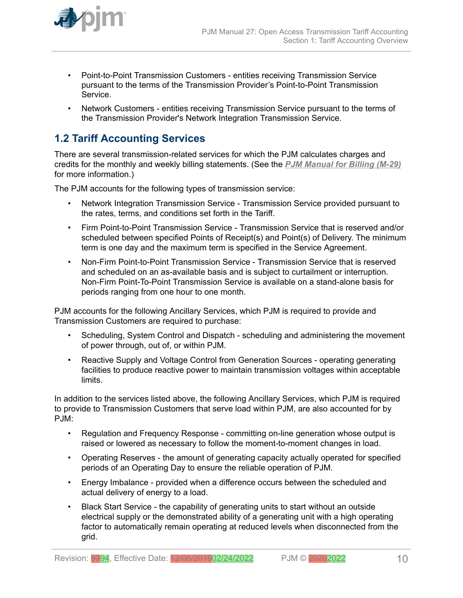<span id="page-9-0"></span>

- Point-to-Point Transmission Customers entities receiving Transmission Service pursuant to the terms of the Transmission Provider's Point-to-Point Transmission Service.
- Network Customers entities receiving Transmission Service pursuant to the terms of the Transmission Provider's Network Integration Transmission Service.

## **1.2 Tariff Accounting Services**

There are several transmission-related services for which the PJM calculates charges and credits for the monthly and weekly billing statements. (See the *[PJM Manual for Billing \(M-29\)](http://www.pjm.com/~/media/documents/manuals/m29.ashx)* for more information.)

The PJM accounts for the following types of transmission service:

- Network Integration Transmission Service Transmission Service provided pursuant to the rates, terms, and conditions set forth in the Tariff.
- Firm Point-to-Point Transmission Service Transmission Service that is reserved and/or scheduled between specified Points of Receipt(s) and Point(s) of Delivery. The minimum term is one day and the maximum term is specified in the Service Agreement.
- Non-Firm Point-to-Point Transmission Service Transmission Service that is reserved and scheduled on an as-available basis and is subject to curtailment or interruption. Non-Firm Point-To-Point Transmission Service is available on a stand-alone basis for periods ranging from one hour to one month.

PJM accounts for the following Ancillary Services, which PJM is required to provide and Transmission Customers are required to purchase:

- Scheduling, System Control and Dispatch scheduling and administering the movement of power through, out of, or within PJM.
- Reactive Supply and Voltage Control from Generation Sources operating generating facilities to produce reactive power to maintain transmission voltages within acceptable limits.

In addition to the services listed above, the following Ancillary Services, which PJM is required to provide to Transmission Customers that serve load within PJM, are also accounted for by PJM:

- Regulation and Frequency Response committing on-line generation whose output is raised or lowered as necessary to follow the moment-to-moment changes in load.
- Operating Reserves the amount of generating capacity actually operated for specified periods of an Operating Day to ensure the reliable operation of PJM.
- Energy Imbalance provided when a difference occurs between the scheduled and actual delivery of energy to a load.
- Black Start Service the capability of generating units to start without an outside electrical supply or the demonstrated ability of a generating unit with a high operating factor to automatically remain operating at reduced levels when disconnected from the grid.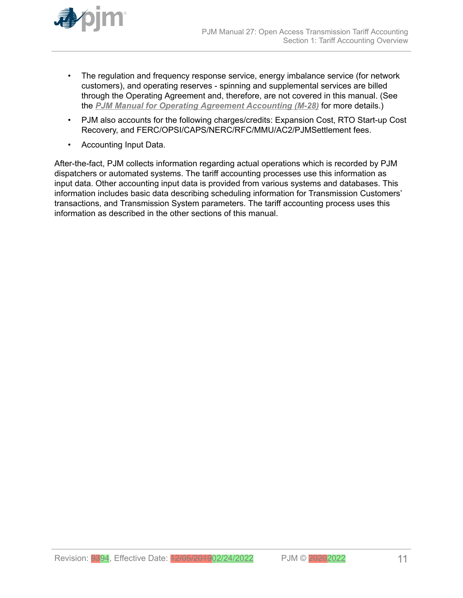

- The regulation and frequency response service, energy imbalance service (for network customers), and operating reserves - spinning and supplemental services are billed through the Operating Agreement and, therefore, are not covered in this manual. (See the *[PJM Manual for Operating Agreement Accounting \(M-28\)](http://www.pjm.com/~/media/documents/manuals/m28.ashx)* for more details.)
- PJM also accounts for the following charges/credits: Expansion Cost, RTO Start-up Cost Recovery, and FERC/OPSI/CAPS/NERC/RFC/MMU/AC2/PJMSettlement fees.
- Accounting Input Data.

After-the-fact, PJM collects information regarding actual operations which is recorded by PJM dispatchers or automated systems. The tariff accounting processes use this information as input data. Other accounting input data is provided from various systems and databases. This information includes basic data describing scheduling information for Transmission Customers' transactions, and Transmission System parameters. The tariff accounting process uses this information as described in the other sections of this manual.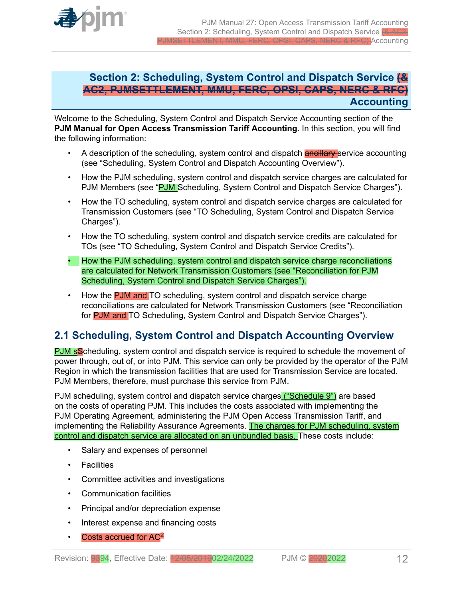<span id="page-11-0"></span>

## **Section 2: Scheduling, System Control and Dispatch Service (& AC2, PJMSETTLEMENT, MMU, FERC, OPSI, CAPS, NERC & RFC) Accounting**

Welcome to the Scheduling, System Control and Dispatch Service Accounting section of the **PJM Manual for Open Access Transmission Tariff Accounting**. In this section, you will find the following information:

- A description of the scheduling, system control and dispatch **ancillary** service accounting (see "Scheduling, System Control and Dispatch Accounting Overview").
- How the PJM scheduling, system control and dispatch service charges are calculated for PJM Members (see "PJM Scheduling, System Control and Dispatch Service Charges").
- How the TO scheduling, system control and dispatch service charges are calculated for Transmission Customers (see "TO Scheduling, System Control and Dispatch Service Charges").
- How the TO scheduling, system control and dispatch service credits are calculated for TOs (see "TO Scheduling, System Control and Dispatch Service Credits").
- How the PJM scheduling, system control and dispatch service charge reconciliations are calculated for Network Transmission Customers (see "Reconciliation for PJM Scheduling, System Control and Dispatch Service Charges").
- How the **PJM and** TO scheduling, system control and dispatch service charge reconciliations are calculated for Network Transmission Customers (see "Reconciliation for **PJM and** TO Scheduling, System Control and Dispatch Service Charges").

## **2.1 Scheduling, System Control and Dispatch Accounting Overview**

PJM sScheduling, system control and dispatch service is required to schedule the movement of power through, out of, or into PJM. This service can only be provided by the operator of the PJM Region in which the transmission facilities that are used for Transmission Service are located. PJM Members, therefore, must purchase this service from PJM.

PJM scheduling, system control and dispatch service charges ("Schedule 9") are based on the costs of operating PJM. This includes the costs associated with implementing the PJM Operating Agreement, administering the PJM Open Access Transmission Tariff, and implementing the Reliability Assurance Agreements. The charges for PJM scheduling, system control and dispatch service are allocated on an unbundled basis. These costs include:

- Salary and expenses of personnel
- Facilities
- Committee activities and investigations
- Communication facilities
- Principal and/or depreciation expense
- Interest expense and financing costs
- Costs accrued for AC<sup>2</sup>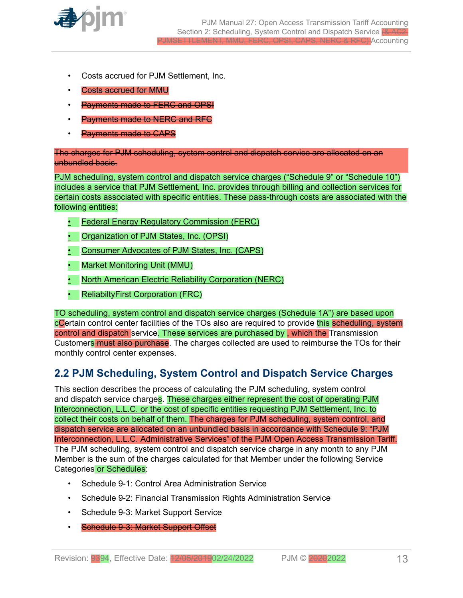<span id="page-12-0"></span>

- Costs accrued for PJM Settlement, Inc.
- Costs accrued for MMU
- Payments made to FERC and OPSI
- Payments made to NERC and RFC
- Payments made to CAPS

The charges for PJM scheduling, system control and dispatch service are allocated on an unbundled basis.

PJM scheduling, system control and dispatch service charges ("Schedule 9" or "Schedule 10") includes a service that PJM Settlement, Inc. provides through billing and collection services for certain costs associated with specific entities. These pass-through costs are associated with the following entities:

- Federal Energy Regulatory Commission (FERC)
- Organization of PJM States, Inc. (OPSI)
- Consumer Advocates of PJM States, Inc. (CAPS)
- Market Monitoring Unit (MMU)
- **North American Electric Reliability Corporation (NERC)**
- ReliabiltyFirst Corporation (FRC)

TO scheduling, system control and dispatch service charges (Schedule 1A") are based upon cCertain control center facilities of the TOs also are required to provide this scheduling, system control and dispatch service. These services are purchased by <del>, which the T</del>ransmission Customers must also purchase. The charges collected are used to reimburse the TOs for their monthly control center expenses.

## **2.2 PJM Scheduling, System Control and Dispatch Service Charges**

This section describes the process of calculating the PJM scheduling, system control and dispatch service charges. These charges either represent the cost of operating PJM Interconnection, L.L.C. or the cost of specific entities requesting PJM Settlement, Inc. to collect their costs on behalf of them. The charges for PJM scheduling, system control, and dispatch service are allocated on an unbundled basis in accordance with Schedule 9: "PJM Interconnection, L.L.C. Administrative Services" of the PJM Open Access Transmission Tariff. The PJM scheduling, system control and dispatch service charge in any month to any PJM Member is the sum of the charges calculated for that Member under the following Service Categories or Schedules:

- Schedule 9-1: Control Area Administration Service
- Schedule 9-2: Financial Transmission Rights Administration Service
- Schedule 9-3: Market Support Service
- Schedule 9-3: Market Support Offset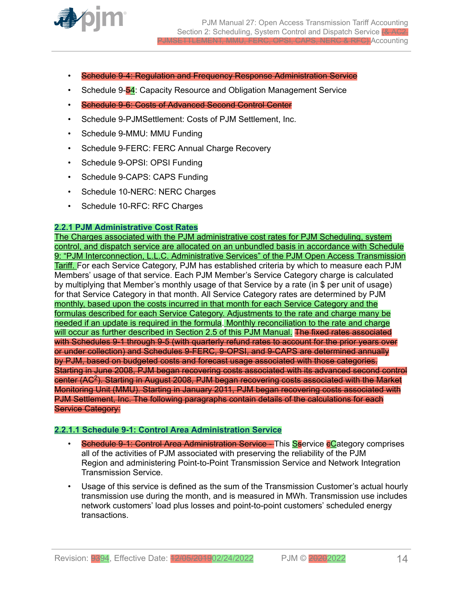<span id="page-13-0"></span>

- Schedule 9-4: Regulation and Frequency Response Administration Service
- Schedule 9-54: Capacity Resource and Obligation Management Service
- Schedule 9-6: Costs of Advanced Second Control Center
- Schedule 9-PJMSettlement: Costs of PJM Settlement, Inc.
- Schedule 9-MMU: MMU Funding
- Schedule 9-FERC: FERC Annual Charge Recovery
- Schedule 9-OPSI: OPSI Funding
- Schedule 9-CAPS: CAPS Funding
- Schedule 10-NERC: NERC Charges
- Schedule 10-RFC: RFC Charges

#### **2.2.1 PJM Administrative Cost Rates**

The Charges associated with the PJM administrative cost rates for PJM Scheduling, system control, and dispatch service are allocated on an unbundled basis in accordance with Schedule 9: "PJM Interconnection, L.L.C. Administrative Services" of the PJM Open Access Transmission **Tariff.** For each Service Category, PJM has established criteria by which to measure each PJM Members' usage of that service. Each PJM Member's Service Category charge is calculated by multiplying that Member's monthly usage of that Service by a rate (in \$ per unit of usage) for that Service Category in that month. All Service Category rates are determined by PJM monthly, based upon the costs incurred in that month for each Service Category and the formulas described for each Service Category. Adjustments to the rate and charge many be needed if an update is required in the formula. Monthly reconciliation to the rate and charge will occur as further described in Section 2.5 of this PJM Manual. The fixed rates associated with Schedules 9-1 through 9-5 (with quarterly refund rates to account for the prior years over or under collection) and Schedules 9-FERC, 9-OPSI, and 9-CAPS are determined annually by PJM, based on budgeted costs and forecast usage associated with those categories. Starting in June 2008, PJM began recovering costs associated with its advanced second control center (AC<sup>2</sup>). Starting in August 2008, PJM began recovering costs associated with the Market Monitoring Unit (MMU). Starting in January 2011, PJM began recovering costs associated with PJM Settlement, Inc. The following paragraphs contain details of the calculations for each Service Category:

#### **2.2.1.1 Schedule 9-1: Control Area Administration Service**

- Schedule 9-1: Control Area Administration Service This Sservice cCategory comprises all of the activities of PJM associated with preserving the reliability of the PJM Region and administering Point-to-Point Transmission Service and Network Integration Transmission Service.
- Usage of this service is defined as the sum of the Transmission Customer's actual hourly transmission use during the month, and is measured in MWh. Transmission use includes network customers' load plus losses and point-to-point customers' scheduled energy transactions.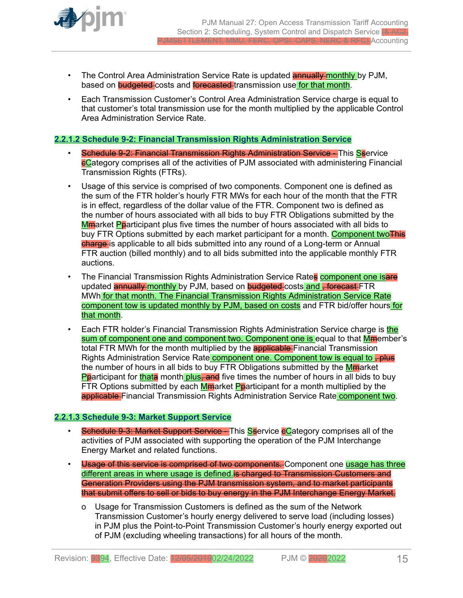<span id="page-14-0"></span>

- The Control Area Administration Service Rate is updated **annually monthly** by PJM, based on budgeted costs and forecasted transmission use for that month.
- Each Transmission Customer's Control Area Administration Service charge is equal to that customer's total transmission use for the month multiplied by the applicable Control Area Administration Service Rate.

#### **2.2.1.2 Schedule 9-2: Financial Transmission Rights Administration Service**

- Schedule 9-2: Financial Transmission Rights Administration Service This Sservice **eCategory comprises all of the activities of PJM associated with administering Financial** Transmission Rights (FTRs).
- Usage of this service is comprised of two components. Component one is defined as the sum of the FTR holder's hourly FTR MWs for each hour of the month that the FTR is in effect, regardless of the dollar value of the FTR. Component two is defined as the number of hours associated with all bids to buy FTR Obligations submitted by the Mmarket Pparticipant plus five times the number of hours associated with all bids to buy FTR Options submitted by each market participant for a month. Component twoThis charge is applicable to all bids submitted into any round of a Long-term or Annual FTR auction (billed monthly) and to all bids submitted into the applicable monthly FTR auctions.
- The Financial Transmission Rights Administration Service Rates component one isare updated **annually** monthly by PJM, based on **budgeted** costs and <del>, forecast F</del>TR MWh for that month. The Financial Transmission Rights Administration Service Rate component tow is updated monthly by PJM, based on costs and FTR bid/offer hours for that month.
- Each FTR holder's Financial Transmission Rights Administration Service charge is the sum of component one and component two. Component one is equal to that Mmember's total FTR MWh for the month multiplied by the **applicable** Financial Transmission Rights Administration Service Rate component one. Component tow is equal to  $\frac{1}{2}$ the number of hours in all bids to buy FTR Obligations submitted by the Mmarket Pparticipant for thata month plus, and five times the number of hours in all bids to buy FTR Options submitted by each Mmarket Pparticipant for a month multiplied by the applicable Financial Transmission Rights Administration Service Rate component two.

#### **2.2.1.3 Schedule 9-3: Market Support Service**

- Schedule 9-3: Market Support Service This Sservice eCategory comprises all of the activities of PJM associated with supporting the operation of the PJM Interchange Energy Market and related functions.
- Usage of this service is comprised of two components. Component one usage has three different areas in where usage is defined.is charged to Transmission Customers and Generation Providers using the PJM transmission system, and to market participants that submit offers to sell or bids to buy energy in the PJM Interchange Energy Market.
	- o Usage for Transmission Customers is defined as the sum of the Network Transmission Customer's hourly energy delivered to serve load (including losses) in PJM plus the Point-to-Point Transmission Customer's hourly energy exported out of PJM (excluding wheeling transactions) for all hours of the month.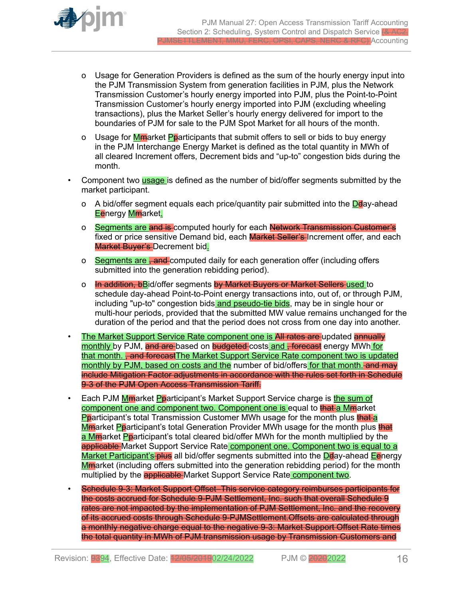

- o Usage for Generation Providers is defined as the sum of the hourly energy input into the PJM Transmission System from generation facilities in PJM, plus the Network Transmission Customer's hourly energy imported into PJM, plus the Point-to-Point Transmission Customer's hourly energy imported into PJM (excluding wheeling transactions), plus the Market Seller's hourly energy delivered for import to the boundaries of PJM for sale to the PJM Spot Market for all hours of the month.
- o Usage for *Mmarket Pparticipants that submit offers to sell or bids to buy energy* in the PJM Interchange Energy Market is defined as the total quantity in MWh of all cleared Increment offers, Decrement bids and "up-to" congestion bids during the month.
- Component two usage is defined as the number of bid/offer segments submitted by the market participant.
	- o A bid/offer segment equals each price/quantity pair submitted into the Deay-ahead Eenergy Mmarket.
	- o Segments are and is computed hourly for each Network Transmission Customer's fixed or price sensitive Demand bid, each Market Seller's Increment offer, and each Market Buyer's Decrement bid.
	- o Segments are, and computed daily for each generation offer (including offers submitted into the generation rebidding period).
	- o In addition, bBid/offer segments by Market Buyers or Market Sellers used to schedule day-ahead Point-to-Point energy transactions into, out of, or through PJM, including "up-to" congestion bids and pseudo-tie bids, may be in single hour or multi-hour periods, provided that the submitted MW value remains unchanged for the duration of the period and that the period does not cross from one day into another.
- The Market Support Service Rate component one is All rates are updated annually monthly by PJM, and are based on budgeted costs and <del>, forecast</del> energy MWh for that month. <del>, and forecast</del>The Market Support Service Rate component two is updated monthly by PJM, based on costs and the number of bid/offers for that month. and may include Mitigation Factor adjustments in accordance with the rules set forth in Schedule 9-3 of the PJM Open Access Transmission Tariff.
- Each PJM Mmarket Pparticipant's Market Support Service charge is the sum of component one and component two. Component one is equal to that a Mmarket Pparticipant's total Transmission Customer MWh usage for the month plus that a Mmarket Pparticipant's total Generation Provider MWh usage for the month plus that a Mmarket Pparticipant's total cleared bid/offer MWh for the month multiplied by the applicable Market Support Service Rate component one. Component two is equal to a Market Participant's plus all bid/offer segments submitted into the Deay-ahead Eenergy Mmarket (including offers submitted into the generation rebidding period) for the month multiplied by the **applicable** Market Support Service Rate component two.
- Schedule 9-3: Market Support Offset*–*This service category reimburses participants for the costs accrued for Schedule 9-PJM Settlement, Inc. such that overall Schedule 9 rates are not impacted by the implementation of PJM Settlement, Inc. and the recovery of its accrued costs through Schedule 9-PJMSettlement.Offsets are calculated through a monthly negative charge equal to the negative 9-3: Market Support Offset Rate times the total quantity in MWh of PJM transmission usage by Transmission Customers and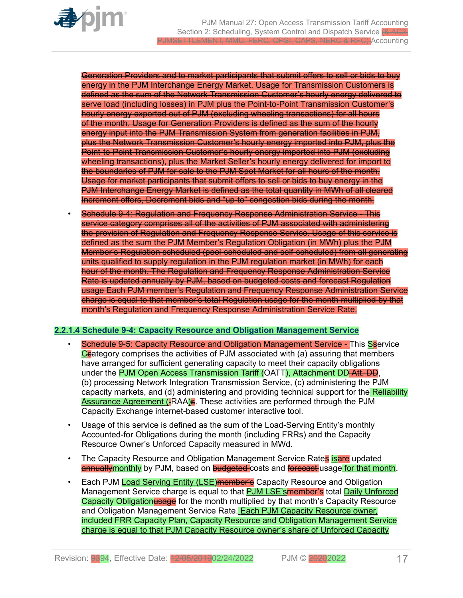<span id="page-16-0"></span>Generation Providers and to market participants that submit offers to sell or bids to buy energy in the PJM Interchange Energy Market. Usage for Transmission Customers is defined as the sum of the Network Transmission Customer's hourly energy delivered to serve load (including losses) in PJM plus the Point-to-Point Transmission Customer's hourly energy exported out of PJM (excluding wheeling transactions) for all hours of the month. Usage for Generation Providers is defined as the sum of the hourly energy input into the PJM Transmission System from generation facilities in PJM, plus the Network Transmission Customer's hourly energy imported into PJM, plus the Point-to-Point Transmission Customer's hourly energy imported into PJM (excluding wheeling transactions), plus the Market Seller's hourly energy delivered for import to the boundaries of PJM for sale to the PJM Spot Market for all hours of the month. Usage for market participants that submit offers to sell or bids to buy energy in the PJM Interchange Energy Market is defined as the total quantity in MWh of all cleared Increment offers, Decrement bids and "up-to" congestion bids during the month.

• Schedule 9-4: Regulation and Frequency Response Administration Service - This service category comprises all of the activities of PJM associated with administering the provision of Regulation and Frequency Response Service. Usage of this service is defined as the sum the PJM Member's Regulation Obligation (in MWh) plus the PJM Member's Regulation scheduled (pool-scheduled and self-scheduled) from all generating units qualified to supply regulation in the PJM regulation market (in MWh) for each hour of the month. The Regulation and Frequency Response Administration Service Rate is updated annually by PJM, based on budgeted costs and forecast Regulation usage Each PJM member's Regulation and Frequency Response Administration Service charge is equal to that member's total Regulation usage for the month multiplied by that month's Regulation and Frequency Response Administration Service Rate.

### **2.2.1.4 Schedule 9-4: Capacity Resource and Obligation Management Service**

- **Schedule 9-5: Capacity Resource and Obligation Management Service This Sservice** Ceategory comprises the activities of PJM associated with (a) assuring that members have arranged for sufficient generating capacity to meet their capacity obligations under the PJM Open Access Transmission Tariff (OATT), Attachment DD-Att. DD, (b) processing Network Integration Transmission Service, (c) administering the PJM capacity markets, and (d) administering and providing technical support for the Reliability Assurance Agreement (RAA)s. These activities are performed through the PJM Capacity Exchange internet-based customer interactive tool.
- Usage of this service is defined as the sum of the Load-Serving Entity's monthly Accounted-for Obligations during the month (including FRRs) and the Capacity Resource Owner's Unforced Capacity measured in MWd.
- The Capacity Resource and Obligation Management Service Rates is are updated annuallymonthly by PJM, based on budgeted-costs and forecast-usage for that month.
- Each PJM Load Serving Entity (LSE)member's Capacity Resource and Obligation Management Service charge is equal to that PJM LSE'smember's total Daily Unforced Capacity Obligationusage for the month multiplied by that month's Capacity Resource and Obligation Management Service Rate. Each PJM Capacity Resource owner, included FRR Capacity Plan, Capacity Resource and Obligation Management Service charge is equal to that PJM Capacity Resource owner's share of Unforced Capacity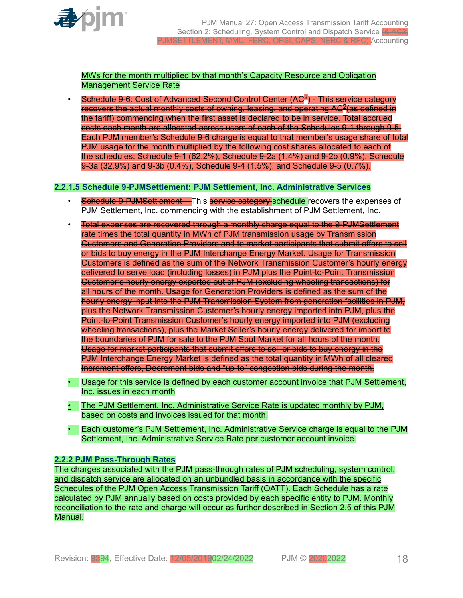<span id="page-17-0"></span>

MWs for the month multiplied by that month's Capacity Resource and Obligation Management Service Rate

• Schedule 9-6: Cost of Advanced Second Control Center (AC<sup>2</sup>) - This service category recovers the actual monthly costs of owning, leasing, and operating AC $^2$ (as defined in the tariff) commencing when the first asset is declared to be in service. Total accrued costs each month are allocated across users of each of the Schedules 9-1 through 9-5. Each PJM member's Schedule 9-6 charge is equal to that member's usage share of total PJM usage for the month multiplied by the following cost shares allocated to each of the schedules: Schedule 9-1 (62.2%), Schedule 9-2a (1.4%) and 9-2b (0.9%), Schedule 9-3a (32.9%) and 9-3b (0.4%), Schedule 9-4 (1.5%), and Schedule 9-5 (0.7%).

#### **2.2.1.5 Schedule 9-PJMSettlement: PJM Settlement, Inc. Administrative Services**

- Schedule 9-PJMSettlement This service category schedule recovers the expenses of PJM Settlement, Inc. commencing with the establishment of PJM Settlement, Inc.
- Total expenses are recovered through a monthly charge equal to the 9-PJMSettlement rate times the total quantity in MWh of PJM transmission usage by Transmission Customers and Generation Providers and to market participants that submit offers to sell or bids to buy energy in the PJM Interchange Energy Market. Usage for Transmission Customers is defined as the sum of the Network Transmission Customer's hourly energy delivered to serve load (including losses) in PJM plus the Point-to-Point Transmission Customer's hourly energy exported out of PJM (excluding wheeling transactions) for all hours of the month. Usage for Generation Providers is defined as the sum of the hourly energy input into the PJM Transmission System from generation facilities in PJM, plus the Network Transmission Customer's hourly energy imported into PJM, plus the Point-to-Point Transmission Customer's hourly energy imported into PJM (excluding wheeling transactions), plus the Market Seller's hourly energy delivered for import to the boundaries of PJM for sale to the PJM Spot Market for all hours of the month. Usage for market participants that submit offers to sell or bids to buy energy in the PJM Interchange Energy Market is defined as the total quantity in MWh of all cleared Increment offers, Decrement bids and "up-to" congestion bids during the month.
- Usage for this service is defined by each customer account invoice that PJM Settlement, Inc. issues in each month
- The PJM Settlement, Inc. Administrative Service Rate is updated monthly by PJM, based on costs and invoices issued for that month.
- Each customer's PJM Settlement, Inc. Administrative Service charge is equal to the PJM Settlement, Inc. Administrative Service Rate per customer account invoice.

#### **2.2.2 PJM Pass-Through Rates**

The charges associated with the PJM pass-through rates of PJM scheduling, system control, and dispatch service are allocated on an unbundled basis in accordance with the specific Schedules of the PJM Open Access Transmission Tariff (OATT). Each Schedule has a rate calculated by PJM annually based on costs provided by each specific entity to PJM. Monthly reconciliation to the rate and charge will occur as further described in Section 2.5 of this PJM Manual.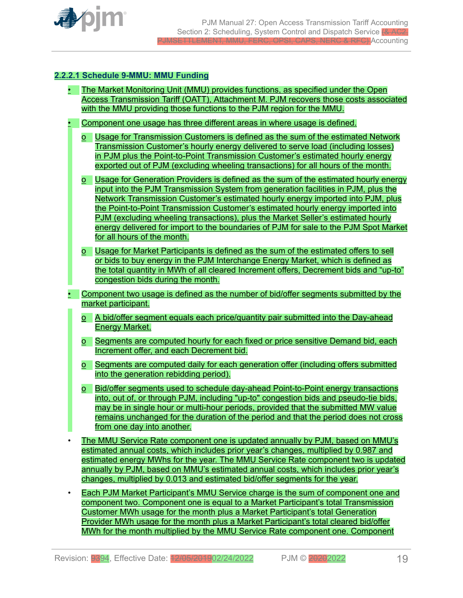<span id="page-18-0"></span>

## **2.2.2.1 Schedule 9-MMU: MMU Funding**

- The Market Monitoring Unit (MMU) provides functions, as specified under the Open Access Transmission Tariff (OATT), Attachment M. PJM recovers those costs associated with the MMU providing those functions to the PJM region for the MMU. • Component one usage has three different areas in where usage is defined. o Usage for Transmission Customers is defined as the sum of the estimated Network Transmission Customer's hourly energy delivered to serve load (including losses) in PJM plus the Point-to-Point Transmission Customer's estimated hourly energy exported out of PJM (excluding wheeling transactions) for all hours of the month. o Usage for Generation Providers is defined as the sum of the estimated hourly energy input into the PJM Transmission System from generation facilities in PJM, plus the Network Transmission Customer's estimated hourly energy imported into PJM, plus the Point-to-Point Transmission Customer's estimated hourly energy imported into PJM (excluding wheeling transactions), plus the Market Seller's estimated hourly energy delivered for import to the boundaries of PJM for sale to the PJM Spot Market for all hours of the month. o Usage for Market Participants is defined as the sum of the estimated offers to sell or bids to buy energy in the PJM Interchange Energy Market, which is defined as the total quantity in MWh of all cleared Increment offers, Decrement bids and "up-to" congestion bids during the month. • Component two usage is defined as the number of bid/offer segments submitted by the market participant. o A bid/offer segment equals each price/quantity pair submitted into the Day-ahead Energy Market. o Segments are computed hourly for each fixed or price sensitive Demand bid, each Increment offer, and each Decrement bid. o Segments are computed daily for each generation offer (including offers submitted into the generation rebidding period). o Bid/offer segments used to schedule day-ahead Point-to-Point energy transactions into, out of, or through PJM, including "up-to" congestion bids and pseudo-tie bids, may be in single hour or multi-hour periods, provided that the submitted MW value remains unchanged for the duration of the period and that the period does not cross from one day into another. • The MMU Service Rate component one is updated annually by PJM, based on MMU's estimated annual costs, which includes prior year's changes, multiplied by 0.987 and estimated energy MWhs for the year. The MMU Service Rate component two is updated annually by PJM, based on MMU's estimated annual costs, which includes prior year's changes, multiplied by 0.013 and estimated bid/offer segments for the year. • Each PJM Market Participant's MMU Service charge is the sum of component one and component two. Component one is equal to a Market Participant's total Transmission Customer MWh usage for the month plus a Market Participant's total Generation
	- Provider MWh usage for the month plus a Market Participant's total cleared bid/offer MWh for the month multiplied by the MMU Service Rate component one. Component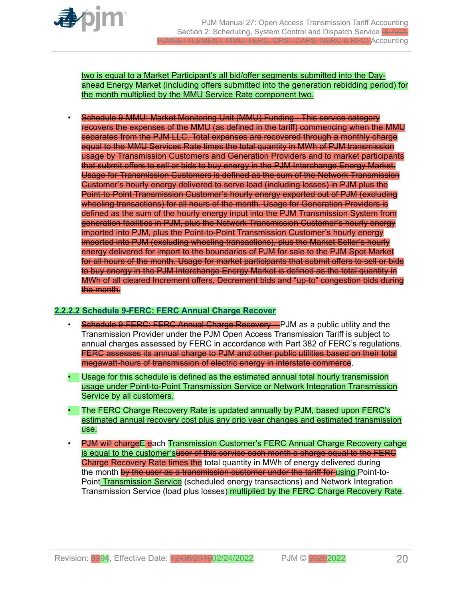<span id="page-19-0"></span>

two is equal to a Market Participant's all bid/offer segments submitted into the Dayahead Energy Market (including offers submitted into the generation rebidding period) for the month multiplied by the MMU Service Rate component two.

• Schedule 9-MMU: Market Monitoring Unit (MMU) Funding - This service category recovers the expenses of the MMU (as defined in the tariff) commencing when the MMU separates from the PJM LLC. Total expenses are recovered through a monthly charge equal to the MMU Services Rate times the total quantity in MWh of PJM transmission usage by Transmission Customers and Generation Providers and to market participants that submit offers to sell or bids to buy energy in the PJM Interchange Energy Market. Usage for Transmission Customers is defined as the sum of the Network Transmission Customer's hourly energy delivered to serve load (including losses) in PJM plus the Point-to-Point Transmission Customer's hourly energy exported out of PJM (excluding wheeling transactions) for all hours of the month. Usage for Generation Providers is defined as the sum of the hourly energy input into the PJM Transmission System from generation facilities in PJM, plus the Network Transmission Customer's hourly energy imported into PJM, plus the Point-to-Point Transmission Customer's hourly energy imported into PJM (excluding wheeling transactions), plus the Market Seller's hourly energy delivered for import to the boundaries of PJM for sale to the PJM Spot Market for all hours of the month. Usage for market participants that submit offers to sell or bids to buy energy in the PJM Interchange Energy Market is defined as the total quantity in MWh of all cleared Increment offers, Decrement bids and "up-to" congestion bids during the month.

#### **2.2.2.2 Schedule 9-FERC: FERC Annual Charge Recover**

- **Schedule 9-FERC: FERC Annual Charge Recovery** PJM as a public utility and the Transmission Provider under the PJM Open Access Transmission Tariff is subject to annual charges assessed by FERC in accordance with Part 382 of FERC's regulations. FERC assesses its annual charge to PJM and other public utilities based on their total megawatt-hours of transmission of electric energy in interstate commerce.
- Usage for this schedule is defined as the estimated annual total hourly transmission usage under Point-to-Point Transmission Service or Network Integration Transmission Service by all customers.
- The FERC Charge Recovery Rate is updated annually by PJM, based upon FERC's estimated annual recovery cost plus any prio year changes and estimated transmission use.
- **PJM will charge E-each Transmission Customer's FERC Annual Charge Recovery cahge** is equal to the customer'suser of this service each month a charge equal to the FERC Charge Recovery Rate times the total quantity in MWh of energy delivered during the month by the user as a transmission customer under the tariff for using Point-to-Point Transmission Service (scheduled energy transactions) and Network Integration Transmission Service (load plus losses) multiplied by the FERC Charge Recovery Rate.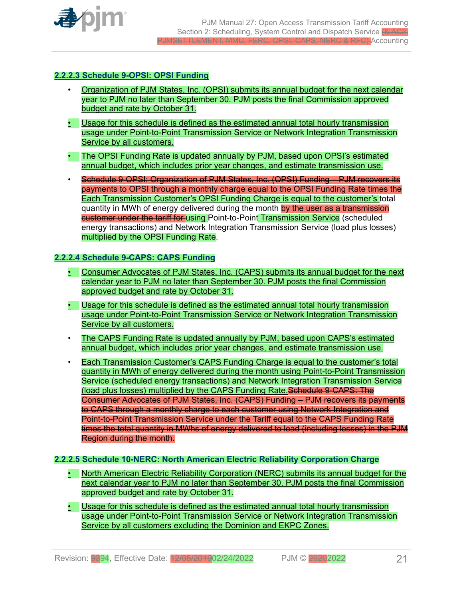<span id="page-20-0"></span>

### **2.2.2.3 Schedule 9-OPSI: OPSI Funding**

- Organization of PJM States, Inc. (OPSI) submits its annual budget for the next calendar year to PJM no later than September 30. PJM posts the final Commission approved budget and rate by October 31.
- Usage for this schedule is defined as the estimated annual total hourly transmission usage under Point-to-Point Transmission Service or Network Integration Transmission Service by all customers.
- The OPSI Funding Rate is updated annually by PJM, based upon OPSI's estimated annual budget, which includes prior year changes, and estimate transmission use.
- Schedule 9-OPSI: Organization of PJM States, Inc. (OPSI) Funding PJM recovers its payments to OPSI through a monthly charge equal to the OPSI Funding Rate times the Each Transmission Customer's OPSI Funding Charge is equal to the customer's total quantity in MWh of energy delivered during the month by the user as a transmission customer under the tariff for using Point-to-Point Transmission Service (scheduled energy transactions) and Network Integration Transmission Service (load plus losses) multiplied by the OPSI Funding Rate.

### **2.2.2.4 Schedule 9-CAPS: CAPS Funding**

- Consumer Advocates of PJM States, Inc. (CAPS) submits its annual budget for the next calendar year to PJM no later than September 30. PJM posts the final Commission approved budget and rate by October 31.
- Usage for this schedule is defined as the estimated annual total hourly transmission usage under Point-to-Point Transmission Service or Network Integration Transmission Service by all customers.
- The CAPS Funding Rate is updated annually by PJM, based upon CAPS's estimated annual budget, which includes prior year changes, and estimate transmission use.
- Each Transmission Customer's CAPS Funding Charge is equal to the customer's total quantity in MWh of energy delivered during the month using Point-to-Point Transmission Service (scheduled energy transactions) and Network Integration Transmission Service (load plus losses) multiplied by the CAPS Funding Rate. Schedule 9-CAPS: The Consumer Advocates of PJM States, Inc. (CAPS) Funding – PJM recovers its payments to CAPS through a monthly charge to each customer using Network Integration and Point-to-Point Transmission Service under the Tariff equal to the CAPS Funding Rate times the total quantity in MWhs of energy delivered to load (including losses) in the PJM Region during the month.

#### **2.2.2.5 Schedule 10-NERC: North American Electric Reliability Corporation Charge**

- North American Electric Reliability Corporation (NERC) submits its annual budget for the next calendar year to PJM no later than September 30. PJM posts the final Commission approved budget and rate by October 31.
- Usage for this schedule is defined as the estimated annual total hourly transmission usage under Point-to-Point Transmission Service or Network Integration Transmission Service by all customers excluding the Dominion and EKPC Zones.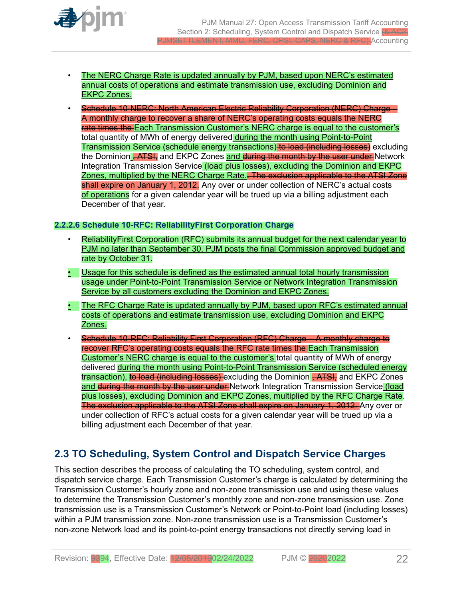<span id="page-21-0"></span>

- The NERC Charge Rate is updated annually by PJM, based upon NERC's estimated annual costs of operations and estimate transmission use, excluding Dominion and EKPC Zones.
- Schedule 10-NERC: North American Electric Reliability Corporation (NERC) Charge A monthly charge to recover a share of NERC's operating costs equals the NERC rate times the Each Transmission Customer's NERC charge is equal to the customer's total quantity of MWh of energy delivered during the month using Point-to-Point Transmission Service (schedule energy transactions) to load (including losses) excluding the Dominion , ATSI, and EKPC Zones and during the month by the user under Network Integration Transmission Service (load plus losses), excluding the Dominion and EKPC Zones, multiplied by the NERC Charge Rate.. The exclusion applicable to the ATSI Zone shall expire on January 1, 2012. Any over or under collection of NERC's actual costs of operations for a given calendar year will be trued up via a billing adjustment each December of that year.

### **2.2.2.6 Schedule 10-RFC: ReliabilityFirst Corporation Charge**

- ReliabilityFirst Corporation (RFC) submits its annual budget for the next calendar year to PJM no later than September 30. PJM posts the final Commission approved budget and rate by October 31.
- Usage for this schedule is defined as the estimated annual total hourly transmission usage under Point-to-Point Transmission Service or Network Integration Transmission Service by all customers excluding the Dominion and EKPC Zones.
- The RFC Charge Rate is updated annually by PJM, based upon RFC's estimated annual costs of operations and estimate transmission use, excluding Dominion and EKPC Zones.
- Schedule 10-RFC: Reliability First Corporation (RFC) Charge A monthly charge to recover RFC's operating costs equals the RFC rate times the Each Transmission Customer's NERC charge is equal to the customer's total quantity of MWh of energy delivered during the month using Point-to-Point Transmission Service (scheduled energy transaction), to load (including losses) excluding the Dominion , ATSI, and EKPC Zones and during the month by the user under Network Integration Transmission Service (load plus losses), excluding Dominion and EKPC Zones, multiplied by the RFC Charge Rate. The exclusion applicable to the ATSI Zone shall expire on January 1, 2012. Any over or under collection of RFC's actual costs for a given calendar year will be trued up via a billing adjustment each December of that year.

## **2.3 TO Scheduling, System Control and Dispatch Service Charges**

This section describes the process of calculating the TO scheduling, system control, and dispatch service charge. Each Transmission Customer's charge is calculated by determining the Transmission Customer's hourly zone and non-zone transmission use and using these values to determine the Transmission Customer's monthly zone and non-zone transmission use. Zone transmission use is a Transmission Customer's Network or Point-to-Point load (including losses) within a PJM transmission zone. Non-zone transmission use is a Transmission Customer's non-zone Network load and its point-to-point energy transactions not directly serving load in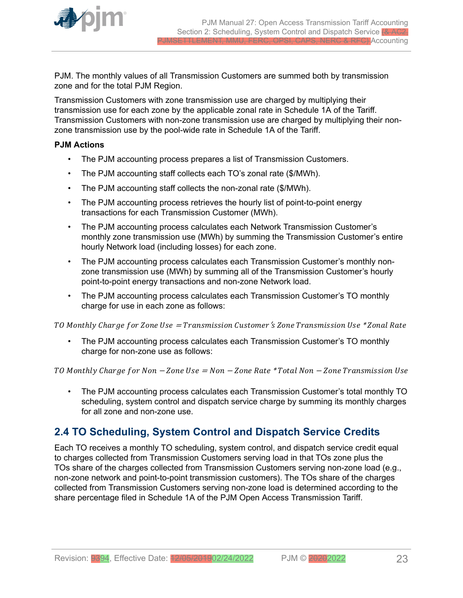<span id="page-22-0"></span>

PJM. The monthly values of all Transmission Customers are summed both by transmission zone and for the total PJM Region.

Transmission Customers with zone transmission use are charged by multiplying their transmission use for each zone by the applicable zonal rate in Schedule 1A of the Tariff. Transmission Customers with non-zone transmission use are charged by multiplying their nonzone transmission use by the pool-wide rate in Schedule 1A of the Tariff.

## **PJM Actions**

- The PJM accounting process prepares a list of Transmission Customers.
- The PJM accounting staff collects each TO's zonal rate (\$/MWh).
- The PJM accounting staff collects the non-zonal rate (\$/MWh).
- The PJM accounting process retrieves the hourly list of point-to-point energy transactions for each Transmission Customer (MWh).
- The PJM accounting process calculates each Network Transmission Customer's monthly zone transmission use (MWh) by summing the Transmission Customer's entire hourly Network load (including losses) for each zone.
- The PJM accounting process calculates each Transmission Customer's monthly nonzone transmission use (MWh) by summing all of the Transmission Customer's hourly point-to-point energy transactions and non-zone Network load.
- The PJM accounting process calculates each Transmission Customer's TO monthly charge for use in each zone as follows:

TO Monthly Charge for Zone Use = Transmission Customer's Zone Transmission Use \* Zonal Rate

• The PJM accounting process calculates each Transmission Customer's TO monthly charge for non-zone use as follows:

TO Monthly Charge for Non − Zone Use = Non − Zone Rate \* Total Non − Zone Transmission Use

• The PJM accounting process calculates each Transmission Customer's total monthly TO scheduling, system control and dispatch service charge by summing its monthly charges for all zone and non-zone use.

## **2.4 TO Scheduling, System Control and Dispatch Service Credits**

Each TO receives a monthly TO scheduling, system control, and dispatch service credit equal to charges collected from Transmission Customers serving load in that TOs zone plus the TOs share of the charges collected from Transmission Customers serving non-zone load (e.g., non-zone network and point-to-point transmission customers). The TOs share of the charges collected from Transmission Customers serving non-zone load is determined according to the share percentage filed in Schedule 1A of the PJM Open Access Transmission Tariff.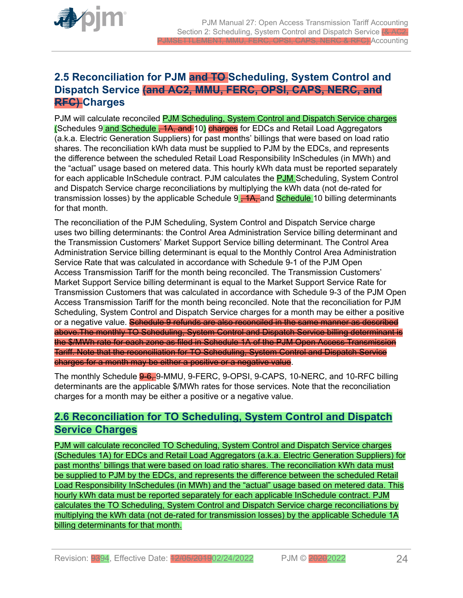<span id="page-23-0"></span>

## **2.5 Reconciliation for PJM and TO Scheduling, System Control and Dispatch Service (and AC2, MMU, FERC, OPSI, CAPS, NERC, and RFC) Charges**

PJM will calculate reconciled PJM Scheduling, System Control and Dispatch Service charges (Schedules 9 and Schedule, 1A, and 10) charges for EDCs and Retail Load Aggregators (a.k.a. Electric Generation Suppliers) for past months' billings that were based on load ratio shares. The reconciliation kWh data must be supplied to PJM by the EDCs, and represents the difference between the scheduled Retail Load Responsibility InSchedules (in MWh) and the "actual" usage based on metered data. This hourly kWh data must be reported separately for each applicable InSchedule contract. PJM calculates the PJM Scheduling, System Control and Dispatch Service charge reconciliations by multiplying the kWh data (not de-rated for transmission losses) by the applicable Schedule 9, 1A, and Schedule 10 billing determinants for that month.

The reconciliation of the PJM Scheduling, System Control and Dispatch Service charge uses two billing determinants: the Control Area Administration Service billing determinant and the Transmission Customers' Market Support Service billing determinant. The Control Area Administration Service billing determinant is equal to the Monthly Control Area Administration Service Rate that was calculated in accordance with Schedule 9-1 of the PJM Open Access Transmission Tariff for the month being reconciled. The Transmission Customers' Market Support Service billing determinant is equal to the Market Support Service Rate for Transmission Customers that was calculated in accordance with Schedule 9-3 of the PJM Open Access Transmission Tariff for the month being reconciled. Note that the reconciliation for PJM Scheduling, System Control and Dispatch Service charges for a month may be either a positive or a negative value. Schedule 9 refunds are also reconciled in the same manner as described above.The monthly TO Scheduling, System Control and Dispatch Service billing determinant is the \$/MWh rate for each zone as filed in Schedule 1A of the PJM Open Access Transmission Tariff. Note that the reconciliation for TO Scheduling, System Control and Dispatch Service charges for a month may be either a positive or a negative value.

The monthly Schedule 9-6, 9-MMU, 9-FERC, 9-OPSI, 9-CAPS, 10-NERC, and 10-RFC billing determinants are the applicable \$/MWh rates for those services. Note that the reconciliation charges for a month may be either a positive or a negative value.

## **2.6 Reconciliation for TO Scheduling, System Control and Dispatch Service Charges**

PJM will calculate reconciled TO Scheduling, System Control and Dispatch Service charges (Schedules 1A) for EDCs and Retail Load Aggregators (a.k.a. Electric Generation Suppliers) for past months' billings that were based on load ratio shares. The reconciliation kWh data must be supplied to PJM by the EDCs, and represents the difference between the scheduled Retail Load Responsibility InSchedules (in MWh) and the "actual" usage based on metered data. This hourly kWh data must be reported separately for each applicable InSchedule contract. PJM calculates the TO Scheduling, System Control and Dispatch Service charge reconciliations by multiplying the kWh data (not de-rated for transmission losses) by the applicable Schedule 1A billing determinants for that month.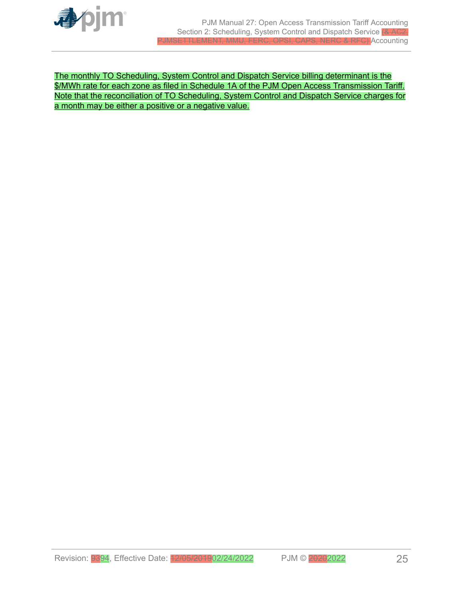

The monthly TO Scheduling, System Control and Dispatch Service billing determinant is the \$/MWh rate for each zone as filed in Schedule 1A of the PJM Open Access Transmission Tariff. Note that the reconciliation of TO Scheduling, System Control and Dispatch Service charges for a month may be either a positive or a negative value.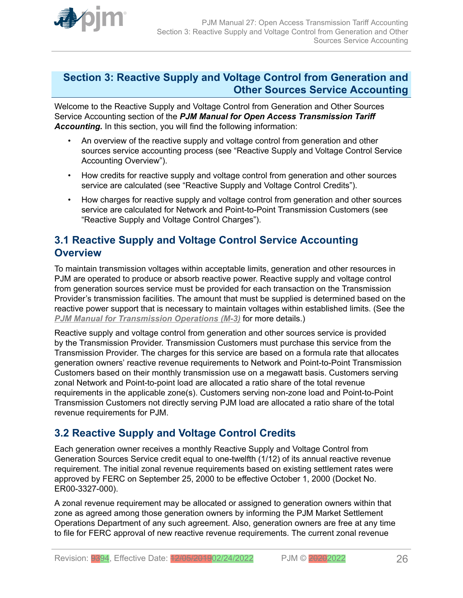<span id="page-25-0"></span>

## **Section 3: Reactive Supply and Voltage Control from Generation and Other Sources Service Accounting**

Welcome to the Reactive Supply and Voltage Control from Generation and Other Sources Service Accounting section of the *PJM Manual for Open Access Transmission Tariff Accounting.* In this section, you will find the following information:

- An overview of the reactive supply and voltage control from generation and other sources service accounting process (see "Reactive Supply and Voltage Control Service Accounting Overview").
- How credits for reactive supply and voltage control from generation and other sources service are calculated (see "Reactive Supply and Voltage Control Credits").
- How charges for reactive supply and voltage control from generation and other sources service are calculated for Network and Point-to-Point Transmission Customers (see "Reactive Supply and Voltage Control Charges").

## **3.1 Reactive Supply and Voltage Control Service Accounting Overview**

To maintain transmission voltages within acceptable limits, generation and other resources in PJM are operated to produce or absorb reactive power. Reactive supply and voltage control from generation sources service must be provided for each transaction on the Transmission Provider's transmission facilities. The amount that must be supplied is determined based on the reactive power support that is necessary to maintain voltages within established limits. (See the *[PJM Manual for Transmission Operations \(M-3\)](http://www.pjm.com/~/media/documents/manuals/m03.ashx)* for more details.)

Reactive supply and voltage control from generation and other sources service is provided by the Transmission Provider. Transmission Customers must purchase this service from the Transmission Provider. The charges for this service are based on a formula rate that allocates generation owners' reactive revenue requirements to Network and Point-to-Point Transmission Customers based on their monthly transmission use on a megawatt basis. Customers serving zonal Network and Point-to-point load are allocated a ratio share of the total revenue requirements in the applicable zone(s). Customers serving non-zone load and Point-to-Point Transmission Customers not directly serving PJM load are allocated a ratio share of the total revenue requirements for PJM.

## **3.2 Reactive Supply and Voltage Control Credits**

Each generation owner receives a monthly Reactive Supply and Voltage Control from Generation Sources Service credit equal to one-twelfth (1/12) of its annual reactive revenue requirement. The initial zonal revenue requirements based on existing settlement rates were approved by FERC on September 25, 2000 to be effective October 1, 2000 (Docket No. ER00-3327-000).

A zonal revenue requirement may be allocated or assigned to generation owners within that zone as agreed among those generation owners by informing the PJM Market Settlement Operations Department of any such agreement. Also, generation owners are free at any time to file for FERC approval of new reactive revenue requirements. The current zonal revenue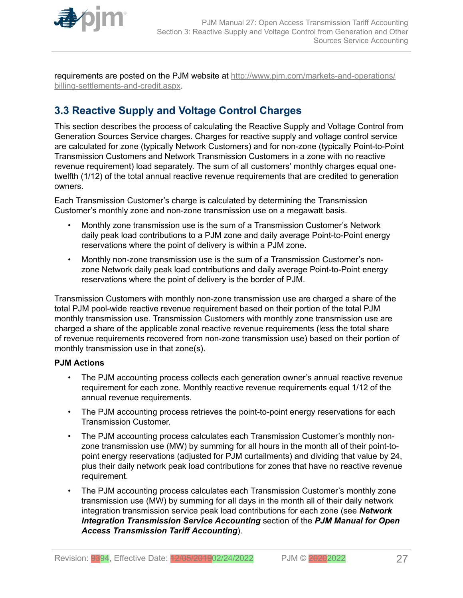<span id="page-26-0"></span>

requirements are posted on the PJM website at [http://www.pjm.com/markets-and-operations/](http://www.pjm.com/markets-and-operations/billing-settlements-and-credit.aspx) [billing-settlements-and-credit.aspx.](http://www.pjm.com/markets-and-operations/billing-settlements-and-credit.aspx)

## **3.3 Reactive Supply and Voltage Control Charges**

This section describes the process of calculating the Reactive Supply and Voltage Control from Generation Sources Service charges. Charges for reactive supply and voltage control service are calculated for zone (typically Network Customers) and for non-zone (typically Point-to-Point Transmission Customers and Network Transmission Customers in a zone with no reactive revenue requirement) load separately. The sum of all customers' monthly charges equal onetwelfth (1/12) of the total annual reactive revenue requirements that are credited to generation owners.

Each Transmission Customer's charge is calculated by determining the Transmission Customer's monthly zone and non-zone transmission use on a megawatt basis.

- Monthly zone transmission use is the sum of a Transmission Customer's Network daily peak load contributions to a PJM zone and daily average Point-to-Point energy reservations where the point of delivery is within a PJM zone.
- Monthly non-zone transmission use is the sum of a Transmission Customer's nonzone Network daily peak load contributions and daily average Point-to-Point energy reservations where the point of delivery is the border of PJM.

Transmission Customers with monthly non-zone transmission use are charged a share of the total PJM pool-wide reactive revenue requirement based on their portion of the total PJM monthly transmission use. Transmission Customers with monthly zone transmission use are charged a share of the applicable zonal reactive revenue requirements (less the total share of revenue requirements recovered from non-zone transmission use) based on their portion of monthly transmission use in that zone(s).

### **PJM Actions**

- The PJM accounting process collects each generation owner's annual reactive revenue requirement for each zone. Monthly reactive revenue requirements equal 1/12 of the annual revenue requirements.
- The PJM accounting process retrieves the point-to-point energy reservations for each Transmission Customer.
- The PJM accounting process calculates each Transmission Customer's monthly nonzone transmission use (MW) by summing for all hours in the month all of their point-topoint energy reservations (adjusted for PJM curtailments) and dividing that value by 24, plus their daily network peak load contributions for zones that have no reactive revenue requirement.
- The PJM accounting process calculates each Transmission Customer's monthly zone transmission use (MW) by summing for all days in the month all of their daily network integration transmission service peak load contributions for each zone (see *Network Integration Transmission Service Accounting* section of the *PJM Manual for Open Access Transmission Tariff Accounting*).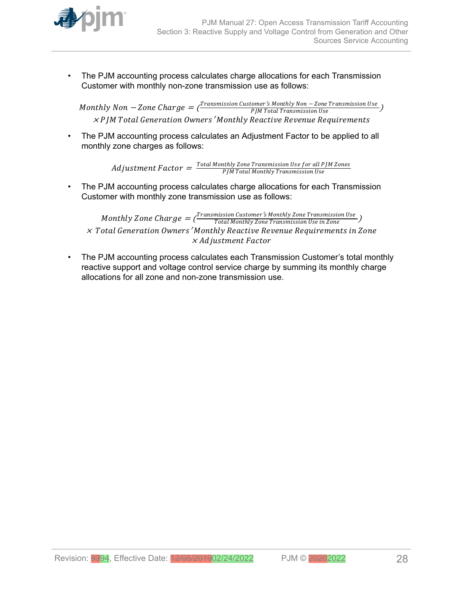

• The PJM accounting process calculates charge allocations for each Transmission Customer with monthly non-zone transmission use as follows:

 $\emph{Monthly Non}-\emph{Zone Charge}=\bar{\frac{\emph{Transmission Customer's Monthly Non}-\emph{Zone Transmission Use}}{\emph{PJM Total Transmission Use}}}\ \label{eq:1}$  $\times$  P JM Total Generation Owners  $'$ Monthly Reactive Revenue Requirements

• The PJM accounting process calculates an Adjustment Factor to be applied to all monthly zone charges as follows:

> $\emph{Adjus}$ tment  $Factor = \frac{Total\,Monthly\,Zone\,Transmission\,Use\,for\,all\,PJM\,Zones}{PJM\,Total\,Monthly\,Transmission\,Use}$ PJM Total Montℎly Transmission Use

• The PJM accounting process calculates charge allocations for each Transmission Customer with monthly zone transmission use as follows:

Monthly Zone Charge  $=$  ( $\frac{Transmission\ Customer\ 's\ Monthly\ Zone\ Transmission\ Use\ in\ Zone}$ ) <sup>×</sup> Total Generation Owners′ Montℎly Reactive Revenue Requirements in Zone × Adjustment Factor

• The PJM accounting process calculates each Transmission Customer's total monthly reactive support and voltage control service charge by summing its monthly charge allocations for all zone and non-zone transmission use.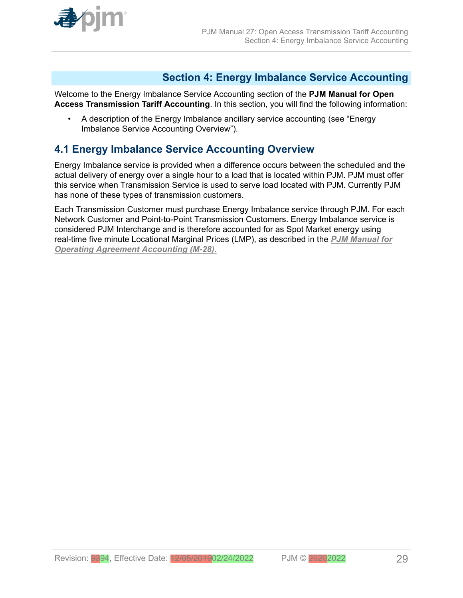<span id="page-28-0"></span>

## **Section 4: Energy Imbalance Service Accounting**

Welcome to the Energy Imbalance Service Accounting section of the **PJM Manual for Open Access Transmission Tariff Accounting**. In this section, you will find the following information:

• A description of the Energy Imbalance ancillary service accounting (see "Energy Imbalance Service Accounting Overview").

## **4.1 Energy Imbalance Service Accounting Overview**

Energy Imbalance service is provided when a difference occurs between the scheduled and the actual delivery of energy over a single hour to a load that is located within PJM. PJM must offer this service when Transmission Service is used to serve load located with PJM. Currently PJM has none of these types of transmission customers.

Each Transmission Customer must purchase Energy Imbalance service through PJM. For each Network Customer and Point-to-Point Transmission Customers. Energy Imbalance service is considered PJM Interchange and is therefore accounted for as Spot Market energy using real-time five minute Locational Marginal Prices (LMP), as described in the *[PJM Manual for](http://www.pjm.com/~/media/documents/manuals/m28.ashx) [Operating Agreement Accounting \(M-28\).](http://www.pjm.com/~/media/documents/manuals/m28.ashx)*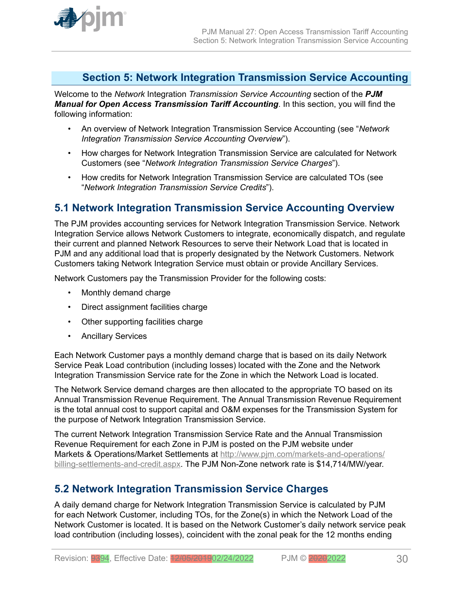<span id="page-29-0"></span>

## **Section 5: Network Integration Transmission Service Accounting**

Welcome to the *Network* Integration *Transmission Service Accounting* section of the *PJM Manual for Open Access Transmission Tariff Accounting*. In this section, you will find the following information:

- An overview of Network Integration Transmission Service Accounting (see "*Network Integration Transmission Service Accounting Overview*").
- How charges for Network Integration Transmission Service are calculated for Network Customers (see "*Network Integration Transmission Service Charges*").
- How credits for Network Integration Transmission Service are calculated TOs (see "*Network Integration Transmission Service Credits*").

## **5.1 Network Integration Transmission Service Accounting Overview**

The PJM provides accounting services for Network Integration Transmission Service. Network Integration Service allows Network Customers to integrate, economically dispatch, and regulate their current and planned Network Resources to serve their Network Load that is located in PJM and any additional load that is properly designated by the Network Customers. Network Customers taking Network Integration Service must obtain or provide Ancillary Services.

Network Customers pay the Transmission Provider for the following costs:

- Monthly demand charge
- Direct assignment facilities charge
- Other supporting facilities charge
- Ancillary Services

Each Network Customer pays a monthly demand charge that is based on its daily Network Service Peak Load contribution (including losses) located with the Zone and the Network Integration Transmission Service rate for the Zone in which the Network Load is located.

The Network Service demand charges are then allocated to the appropriate TO based on its Annual Transmission Revenue Requirement. The Annual Transmission Revenue Requirement is the total annual cost to support capital and O&M expenses for the Transmission System for the purpose of Network Integration Transmission Service.

The current Network Integration Transmission Service Rate and the Annual Transmission Revenue Requirement for each Zone in PJM is posted on the PJM website under Markets & Operations/Market Settlements at [http://www.pjm.com/markets-and-operations/](http://www.pjm.com/markets-and-operations/billing-settlements-and-credit.aspx) [billing-settlements-and-credit.aspx.](http://www.pjm.com/markets-and-operations/billing-settlements-and-credit.aspx) The PJM Non-Zone network rate is \$14,714/MW/year.

## **5.2 Network Integration Transmission Service Charges**

A daily demand charge for Network Integration Transmission Service is calculated by PJM for each Network Customer, including TOs, for the Zone(s) in which the Network Load of the Network Customer is located. It is based on the Network Customer's daily network service peak load contribution (including losses), coincident with the zonal peak for the 12 months ending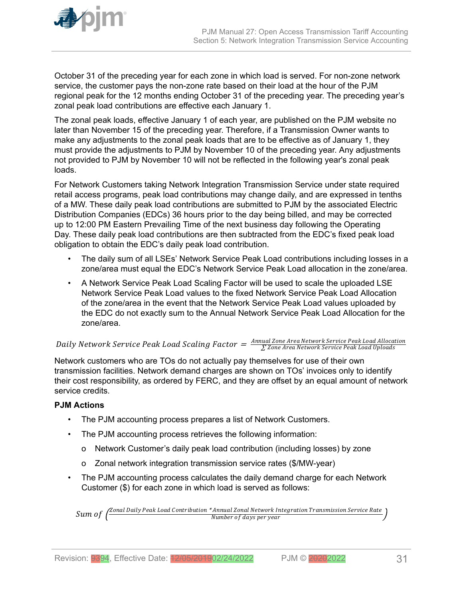

October 31 of the preceding year for each zone in which load is served. For non-zone network service, the customer pays the non-zone rate based on their load at the hour of the PJM regional peak for the 12 months ending October 31 of the preceding year. The preceding year's zonal peak load contributions are effective each January 1.

The zonal peak loads, effective January 1 of each year, are published on the PJM website no later than November 15 of the preceding year. Therefore, if a Transmission Owner wants to make any adjustments to the zonal peak loads that are to be effective as of January 1, they must provide the adjustments to PJM by November 10 of the preceding year. Any adjustments not provided to PJM by November 10 will not be reflected in the following year's zonal peak loads.

For Network Customers taking Network Integration Transmission Service under state required retail access programs, peak load contributions may change daily, and are expressed in tenths of a MW. These daily peak load contributions are submitted to PJM by the associated Electric Distribution Companies (EDCs) 36 hours prior to the day being billed, and may be corrected up to 12:00 PM Eastern Prevailing Time of the next business day following the Operating Day. These daily peak load contributions are then subtracted from the EDC's fixed peak load obligation to obtain the EDC's daily peak load contribution.

- The daily sum of all LSEs' Network Service Peak Load contributions including losses in a zone/area must equal the EDC's Network Service Peak Load allocation in the zone/area.
- A Network Service Peak Load Scaling Factor will be used to scale the uploaded LSE Network Service Peak Load values to the fixed Network Service Peak Load Allocation of the zone/area in the event that the Network Service Peak Load values uploaded by the EDC do not exactly sum to the Annual Network Service Peak Load Allocation for the zone/area.

# $Daily Network Service Peak$   $Loader = \frac{Annual\,Zone\,Area}$  Network Service Peak Load Scaling Factor  $= \frac{Annual\,Zone\,Area\,Network\,Service\,Peak\,Load\,Uboads}$

Network customers who are TOs do not actually pay themselves for use of their own transmission facilities. Network demand charges are shown on TOs' invoices only to identify their cost responsibility, as ordered by FERC, and they are offset by an equal amount of network service credits.

## **PJM Actions**

- The PJM accounting process prepares a list of Network Customers.
- The PJM accounting process retrieves the following information:
	- o Network Customer's daily peak load contribution (including losses) by zone
	- o Zonal network integration transmission service rates (\$/MW-year)
- The PJM accounting process calculates the daily demand charge for each Network Customer (\$) for each zone in which load is served as follows:

Sum of Zonal Daily Peak Load Contribution \* Annual Zonal Network Integration Transmission Service Rate Number of days per year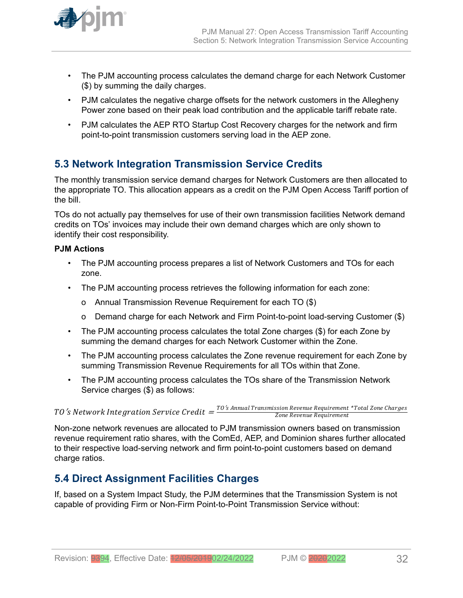<span id="page-31-0"></span>

- The PJM accounting process calculates the demand charge for each Network Customer (\$) by summing the daily charges.
- PJM calculates the negative charge offsets for the network customers in the Allegheny Power zone based on their peak load contribution and the applicable tariff rebate rate.
- PJM calculates the AEP RTO Startup Cost Recovery charges for the network and firm point-to-point transmission customers serving load in the AEP zone.

## **5.3 Network Integration Transmission Service Credits**

The monthly transmission service demand charges for Network Customers are then allocated to the appropriate TO. This allocation appears as a credit on the PJM Open Access Tariff portion of the bill.

TOs do not actually pay themselves for use of their own transmission facilities Network demand credits on TOs' invoices may include their own demand charges which are only shown to identify their cost responsibility.

## **PJM Actions**

- The PJM accounting process prepares a list of Network Customers and TOs for each zone.
- The PJM accounting process retrieves the following information for each zone:
	- o Annual Transmission Revenue Requirement for each TO (\$)
	- o Demand charge for each Network and Firm Point-to-point load-serving Customer (\$)
- The PJM accounting process calculates the total Zone charges (\$) for each Zone by summing the demand charges for each Network Customer within the Zone.
- The PJM accounting process calculates the Zone revenue requirement for each Zone by summing Transmission Revenue Requirements for all TOs within that Zone.
- The PJM accounting process calculates the TOs share of the Transmission Network Service charges (\$) as follows:

 $TO\,^\prime\!s$   $Network$   $Integration\,Service\, Credit = \frac{TO\,^\prime\!s\, Annual\,Transmission\,Revenue\,Regular\,Brenue\,Requirement} {Zone\,Chen}$ Zone Revenue Requirement

Non-zone network revenues are allocated to PJM transmission owners based on transmission revenue requirement ratio shares, with the ComEd, AEP, and Dominion shares further allocated to their respective load-serving network and firm point-to-point customers based on demand charge ratios.

## **5.4 Direct Assignment Facilities Charges**

If, based on a System Impact Study, the PJM determines that the Transmission System is not capable of providing Firm or Non-Firm Point-to-Point Transmission Service without: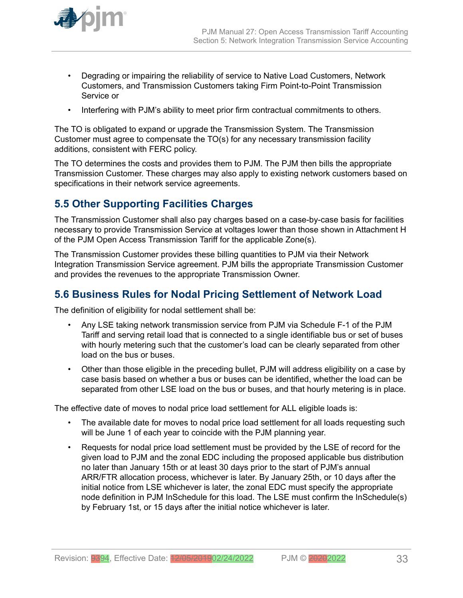- <span id="page-32-0"></span>• Degrading or impairing the reliability of service to Native Load Customers, Network Customers, and Transmission Customers taking Firm Point-to-Point Transmission Service or
- Interfering with PJM's ability to meet prior firm contractual commitments to others.

The TO is obligated to expand or upgrade the Transmission System. The Transmission Customer must agree to compensate the TO(s) for any necessary transmission facility additions, consistent with FERC policy.

The TO determines the costs and provides them to PJM. The PJM then bills the appropriate Transmission Customer. These charges may also apply to existing network customers based on specifications in their network service agreements.

## **5.5 Other Supporting Facilities Charges**

The Transmission Customer shall also pay charges based on a case-by-case basis for facilities necessary to provide Transmission Service at voltages lower than those shown in Attachment H of the PJM Open Access Transmission Tariff for the applicable Zone(s).

The Transmission Customer provides these billing quantities to PJM via their Network Integration Transmission Service agreement. PJM bills the appropriate Transmission Customer and provides the revenues to the appropriate Transmission Owner.

## **5.6 Business Rules for Nodal Pricing Settlement of Network Load**

The definition of eligibility for nodal settlement shall be:

- Any LSE taking network transmission service from PJM via Schedule F-1 of the PJM Tariff and serving retail load that is connected to a single identifiable bus or set of buses with hourly metering such that the customer's load can be clearly separated from other load on the bus or buses.
- Other than those eligible in the preceding bullet, PJM will address eligibility on a case by case basis based on whether a bus or buses can be identified, whether the load can be separated from other LSE load on the bus or buses, and that hourly metering is in place.

The effective date of moves to nodal price load settlement for ALL eligible loads is:

- The available date for moves to nodal price load settlement for all loads requesting such will be June 1 of each year to coincide with the PJM planning year.
- Requests for nodal price load settlement must be provided by the LSE of record for the given load to PJM and the zonal EDC including the proposed applicable bus distribution no later than January 15th or at least 30 days prior to the start of PJM's annual ARR/FTR allocation process, whichever is later. By January 25th, or 10 days after the initial notice from LSE whichever is later, the zonal EDC must specify the appropriate node definition in PJM InSchedule for this load. The LSE must confirm the InSchedule(s) by February 1st, or 15 days after the initial notice whichever is later.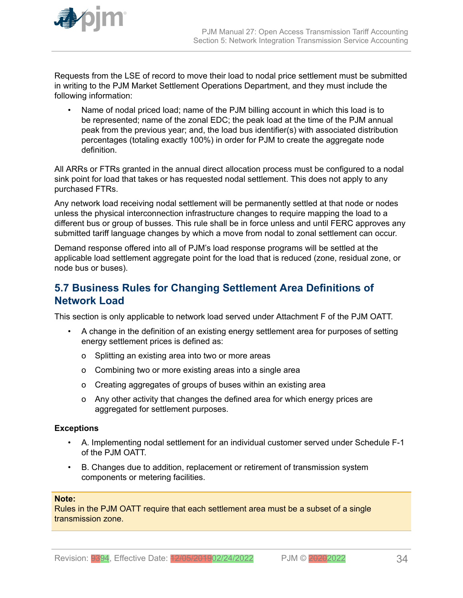<span id="page-33-0"></span>

Requests from the LSE of record to move their load to nodal price settlement must be submitted in writing to the PJM Market Settlement Operations Department, and they must include the following information:

• Name of nodal priced load; name of the PJM billing account in which this load is to be represented; name of the zonal EDC; the peak load at the time of the PJM annual peak from the previous year; and, the load bus identifier(s) with associated distribution percentages (totaling exactly 100%) in order for PJM to create the aggregate node definition.

All ARRs or FTRs granted in the annual direct allocation process must be configured to a nodal sink point for load that takes or has requested nodal settlement. This does not apply to any purchased FTRs.

Any network load receiving nodal settlement will be permanently settled at that node or nodes unless the physical interconnection infrastructure changes to require mapping the load to a different bus or group of busses. This rule shall be in force unless and until FERC approves any submitted tariff language changes by which a move from nodal to zonal settlement can occur.

Demand response offered into all of PJM's load response programs will be settled at the applicable load settlement aggregate point for the load that is reduced (zone, residual zone, or node bus or buses).

## **5.7 Business Rules for Changing Settlement Area Definitions of Network Load**

This section is only applicable to network load served under Attachment F of the PJM OATT.

- A change in the definition of an existing energy settlement area for purposes of setting energy settlement prices is defined as:
	- o Splitting an existing area into two or more areas
	- o Combining two or more existing areas into a single area
	- o Creating aggregates of groups of buses within an existing area
	- o Any other activity that changes the defined area for which energy prices are aggregated for settlement purposes.

### **Exceptions**

- A. Implementing nodal settlement for an individual customer served under Schedule F-1 of the PJM OATT.
- B. Changes due to addition, replacement or retirement of transmission system components or metering facilities.

#### **Note:**

Rules in the PJM OATT require that each settlement area must be a subset of a single transmission zone.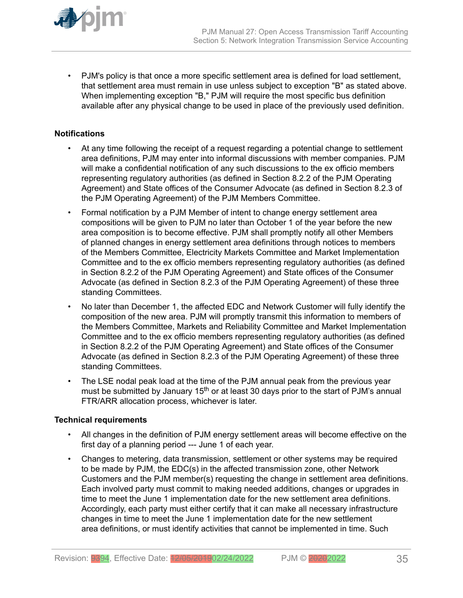

• PJM's policy is that once a more specific settlement area is defined for load settlement, that settlement area must remain in use unless subject to exception "B" as stated above. When implementing exception "B," PJM will require the most specific bus definition available after any physical change to be used in place of the previously used definition.

## **Notifications**

- At any time following the receipt of a request regarding a potential change to settlement area definitions, PJM may enter into informal discussions with member companies. PJM will make a confidential notification of any such discussions to the ex officio members representing regulatory authorities (as defined in Section 8.2.2 of the PJM Operating Agreement) and State offices of the Consumer Advocate (as defined in Section 8.2.3 of the PJM Operating Agreement) of the PJM Members Committee.
- Formal notification by a PJM Member of intent to change energy settlement area compositions will be given to PJM no later than October 1 of the year before the new area composition is to become effective. PJM shall promptly notify all other Members of planned changes in energy settlement area definitions through notices to members of the Members Committee, Electricity Markets Committee and Market Implementation Committee and to the ex officio members representing regulatory authorities (as defined in Section 8.2.2 of the PJM Operating Agreement) and State offices of the Consumer Advocate (as defined in Section 8.2.3 of the PJM Operating Agreement) of these three standing Committees.
- No later than December 1, the affected EDC and Network Customer will fully identify the composition of the new area. PJM will promptly transmit this information to members of the Members Committee, Markets and Reliability Committee and Market Implementation Committee and to the ex officio members representing regulatory authorities (as defined in Section 8.2.2 of the PJM Operating Agreement) and State offices of the Consumer Advocate (as defined in Section 8.2.3 of the PJM Operating Agreement) of these three standing Committees.
- The LSE nodal peak load at the time of the PJM annual peak from the previous year must be submitted by January 15<sup>th</sup> or at least 30 days prior to the start of PJM's annual FTR/ARR allocation process, whichever is later.

## **Technical requirements**

- All changes in the definition of PJM energy settlement areas will become effective on the first day of a planning period --- June 1 of each year.
- Changes to metering, data transmission, settlement or other systems may be required to be made by PJM, the EDC(s) in the affected transmission zone, other Network Customers and the PJM member(s) requesting the change in settlement area definitions. Each involved party must commit to making needed additions, changes or upgrades in time to meet the June 1 implementation date for the new settlement area definitions. Accordingly, each party must either certify that it can make all necessary infrastructure changes in time to meet the June 1 implementation date for the new settlement area definitions, or must identify activities that cannot be implemented in time. Such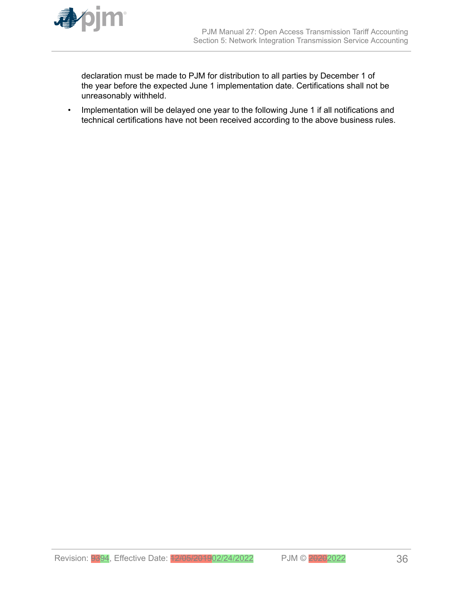

declaration must be made to PJM for distribution to all parties by December 1 of the year before the expected June 1 implementation date. Certifications shall not be unreasonably withheld.

• Implementation will be delayed one year to the following June 1 if all notifications and technical certifications have not been received according to the above business rules.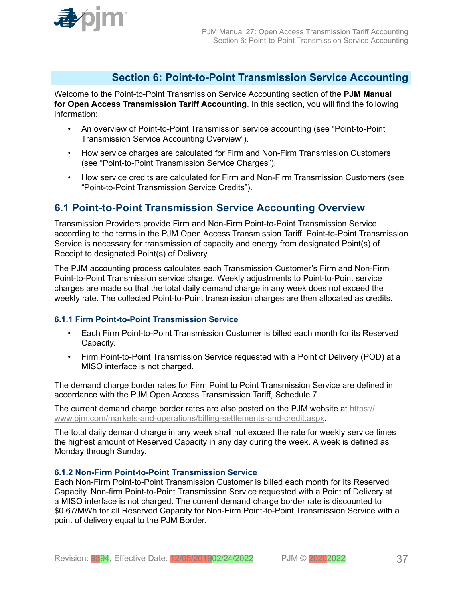<span id="page-36-0"></span>

## **Section 6: Point-to-Point Transmission Service Accounting**

Welcome to the Point-to-Point Transmission Service Accounting section of the **PJM Manual for Open Access Transmission Tariff Accounting**. In this section, you will find the following information:

- An overview of Point-to-Point Transmission service accounting (see "Point-to-Point Transmission Service Accounting Overview").
- How service charges are calculated for Firm and Non-Firm Transmission Customers (see "Point-to-Point Transmission Service Charges").
- How service credits are calculated for Firm and Non-Firm Transmission Customers (see "Point-to-Point Transmission Service Credits").

## **6.1 Point-to-Point Transmission Service Accounting Overview**

Transmission Providers provide Firm and Non-Firm Point-to-Point Transmission Service according to the terms in the PJM Open Access Transmission Tariff. Point-to-Point Transmission Service is necessary for transmission of capacity and energy from designated Point(s) of Receipt to designated Point(s) of Delivery.

The PJM accounting process calculates each Transmission Customer's Firm and Non-Firm Point-to-Point Transmission service charge. Weekly adjustments to Point-to-Point service charges are made so that the total daily demand charge in any week does not exceed the weekly rate. The collected Point-to-Point transmission charges are then allocated as credits.

### **6.1.1 Firm Point-to-Point Transmission Service**

- Each Firm Point-to-Point Transmission Customer is billed each month for its Reserved Capacity.
- Firm Point-to-Point Transmission Service requested with a Point of Delivery (POD) at a MISO interface is not charged.

The demand charge border rates for Firm Point to Point Transmission Service are defined in accordance with the PJM Open Access Transmission Tariff, Schedule 7.

The current demand charge border rates are also posted on the PJM website at [https://](https://www.pjm.com/markets-and-operations/billing-settlements-and-credit.aspx) [www.pjm.com/markets-and-operations/billing-settlements-and-credit.aspx](https://www.pjm.com/markets-and-operations/billing-settlements-and-credit.aspx).

The total daily demand charge in any week shall not exceed the rate for weekly service times the highest amount of Reserved Capacity in any day during the week. A week is defined as Monday through Sunday.

### **6.1.2 Non-Firm Point-to-Point Transmission Service**

Each Non-Firm Point-to-Point Transmission Customer is billed each month for its Reserved Capacity. Non-firm Point-to-Point Transmission Service requested with a Point of Delivery at a MISO interface is not charged. The current demand charge border rate is discounted to \$0.67/MWh for all Reserved Capacity for Non-Firm Point-to-Point Transmission Service with a point of delivery equal to the PJM Border.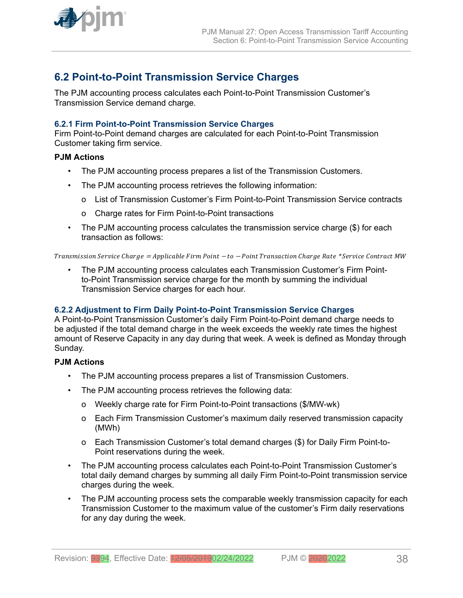<span id="page-37-0"></span>

## **6.2 Point-to-Point Transmission Service Charges**

The PJM accounting process calculates each Point-to-Point Transmission Customer's Transmission Service demand charge.

### **6.2.1 Firm Point-to-Point Transmission Service Charges**

Firm Point-to-Point demand charges are calculated for each Point-to-Point Transmission Customer taking firm service.

#### **PJM Actions**

- The PJM accounting process prepares a list of the Transmission Customers.
- The PJM accounting process retrieves the following information:
	- o List of Transmission Customer's Firm Point-to-Point Transmission Service contracts
	- o Charge rates for Firm Point-to-Point transactions
- The PJM accounting process calculates the transmission service charge (\$) for each transaction as follows:

Transmission Service Cℎarge <sup>=</sup> Applicable Firm Point <sup>−</sup> to <sup>−</sup> Point Transaction Cℎarge Rate \* Service Contract MW

• The PJM accounting process calculates each Transmission Customer's Firm Pointto-Point Transmission service charge for the month by summing the individual Transmission Service charges for each hour.

### **6.2.2 Adjustment to Firm Daily Point-to-Point Transmission Service Charges**

A Point-to-Point Transmission Customer's daily Firm Point-to-Point demand charge needs to be adjusted if the total demand charge in the week exceeds the weekly rate times the highest amount of Reserve Capacity in any day during that week. A week is defined as Monday through Sunday.

### **PJM Actions**

- The PJM accounting process prepares a list of Transmission Customers.
- The PJM accounting process retrieves the following data:
	- o Weekly charge rate for Firm Point-to-Point transactions (\$/MW-wk)
	- o Each Firm Transmission Customer's maximum daily reserved transmission capacity (MWh)
	- o Each Transmission Customer's total demand charges (\$) for Daily Firm Point-to-Point reservations during the week.
- The PJM accounting process calculates each Point-to-Point Transmission Customer's total daily demand charges by summing all daily Firm Point-to-Point transmission service charges during the week.
- The PJM accounting process sets the comparable weekly transmission capacity for each Transmission Customer to the maximum value of the customer's Firm daily reservations for any day during the week.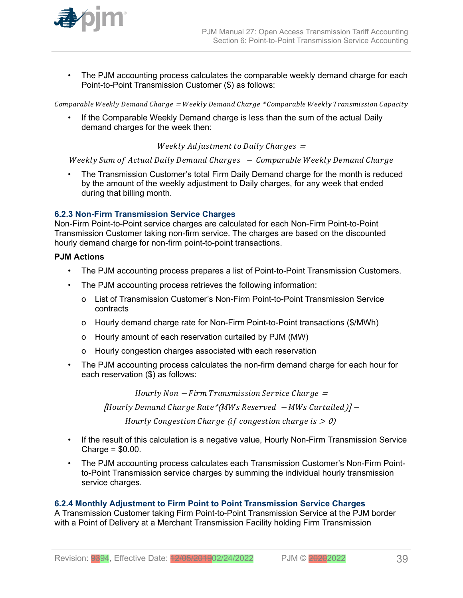<span id="page-38-0"></span>

• The PJM accounting process calculates the comparable weekly demand charge for each Point-to-Point Transmission Customer (\$) as follows:

Comparable Weekly Demand Charge = Weekly Demand Charge \* Comparable Weekly Transmission Capacity

If the Comparable Weekly Demand charge is less than the sum of the actual Daily demand charges for the week then:

Weekly Adjustment to Daily Charges  $=$ 

Weekly Sum of Actual Daily Demand Charges - Comparable Weekly Demand Charge

• The Transmission Customer's total Firm Daily Demand charge for the month is reduced by the amount of the weekly adjustment to Daily charges, for any week that ended during that billing month.

#### **6.2.3 Non-Firm Transmission Service Charges**

Non-Firm Point-to-Point service charges are calculated for each Non-Firm Point-to-Point Transmission Customer taking non-firm service. The charges are based on the discounted hourly demand charge for non-firm point-to-point transactions.

#### **PJM Actions**

- The PJM accounting process prepares a list of Point-to-Point Transmission Customers.
- The PJM accounting process retrieves the following information:
	- o List of Transmission Customer's Non-Firm Point-to-Point Transmission Service contracts
	- o Hourly demand charge rate for Non-Firm Point-to-Point transactions (\$/MWh)
	- o Hourly amount of each reservation curtailed by PJM (MW)
	- o Hourly congestion charges associated with each reservation
- The PJM accounting process calculates the non-firm demand charge for each hour for each reservation (\$) as follows:

 $Hourly Non-Firm Transmission Service Charge =$ 

Hourly Demand Cℎarge Rate\* MWs Reserved <sup>−</sup> MWs Curtailed <sup>−</sup>

Hourly Congestion Charge (if congestion charge is  $> 0$ )

- If the result of this calculation is a negative value, Hourly Non-Firm Transmission Service Charge = \$0.00.
- The PJM accounting process calculates each Transmission Customer's Non-Firm Pointto-Point Transmission service charges by summing the individual hourly transmission service charges.

#### **6.2.4 Monthly Adjustment to Firm Point to Point Transmission Service Charges**

A Transmission Customer taking Firm Point-to-Point Transmission Service at the PJM border with a Point of Delivery at a Merchant Transmission Facility holding Firm Transmission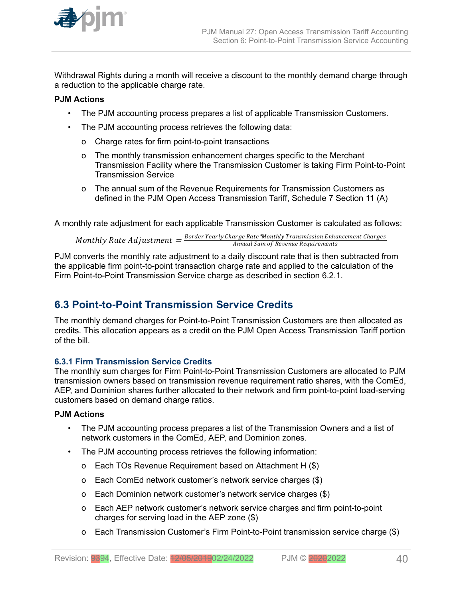<span id="page-39-0"></span>

Withdrawal Rights during a month will receive a discount to the monthly demand charge through a reduction to the applicable charge rate.

## **PJM Actions**

- The PJM accounting process prepares a list of applicable Transmission Customers.
- The PJM accounting process retrieves the following data:
	- o Charge rates for firm point-to-point transactions
	- o The monthly transmission enhancement charges specific to the Merchant Transmission Facility where the Transmission Customer is taking Firm Point-to-Point Transmission Service
	- o The annual sum of the Revenue Requirements for Transmission Customers as defined in the PJM Open Access Transmission Tariff, Schedule 7 Section 11 (A)

A monthly rate adjustment for each applicable Transmission Customer is calculated as follows:

Monthly Rate Adjustment  $=\frac{Border\,Year}$ Charge Rate\*Monthly Transmission Enhancement Charges<br>Annual Sum of Revenue Requirements Annual Sum of Revenue Requirements

PJM converts the monthly rate adjustment to a daily discount rate that is then subtracted from the applicable firm point-to-point transaction charge rate and applied to the calculation of the Firm Point-to-Point Transmission Service charge as described in section 6.2.1.

## **6.3 Point-to-Point Transmission Service Credits**

The monthly demand charges for Point-to-Point Transmission Customers are then allocated as credits. This allocation appears as a credit on the PJM Open Access Transmission Tariff portion of the bill.

## **6.3.1 Firm Transmission Service Credits**

The monthly sum charges for Firm Point-to-Point Transmission Customers are allocated to PJM transmission owners based on transmission revenue requirement ratio shares, with the ComEd, AEP, and Dominion shares further allocated to their network and firm point-to-point load-serving customers based on demand charge ratios.

## **PJM Actions**

- The PJM accounting process prepares a list of the Transmission Owners and a list of network customers in the ComEd, AEP, and Dominion zones.
- The PJM accounting process retrieves the following information:
	- o Each TOs Revenue Requirement based on Attachment H (\$)
	- o Each ComEd network customer's network service charges (\$)
	- o Each Dominion network customer's network service charges (\$)
	- o Each AEP network customer's network service charges and firm point-to-point charges for serving load in the AEP zone (\$)
	- o Each Transmission Customer's Firm Point-to-Point transmission service charge (\$)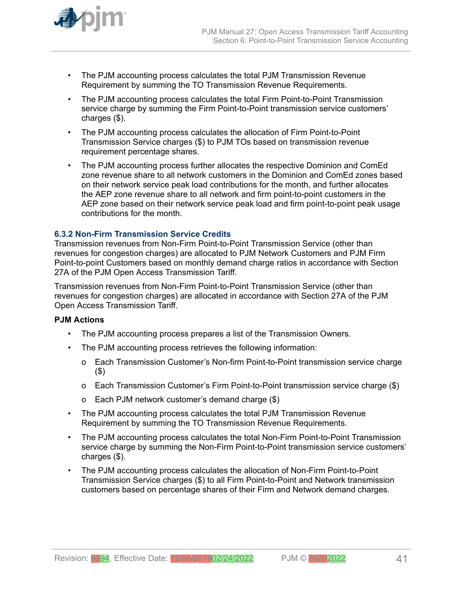<span id="page-40-0"></span>

- The PJM accounting process calculates the total PJM Transmission Revenue Requirement by summing the TO Transmission Revenue Requirements.
- The PJM accounting process calculates the total Firm Point-to-Point Transmission service charge by summing the Firm Point-to-Point transmission service customers' charges (\$).
- The PJM accounting process calculates the allocation of Firm Point-to-Point Transmission Service charges (\$) to PJM TOs based on transmission revenue requirement percentage shares.
- The PJM accounting process further allocates the respective Dominion and ComEd zone revenue share to all network customers in the Dominion and ComEd zones based on their network service peak load contributions for the month, and further allocates the AEP zone revenue share to all network and firm point-to-point customers in the AEP zone based on their network service peak load and firm point-to-point peak usage contributions for the month.

### **6.3.2 Non-Firm Transmission Service Credits**

Transmission revenues from Non-Firm Point-to-Point Transmission Service (other than revenues for congestion charges) are allocated to PJM Network Customers and PJM Firm Point-to-point Customers based on monthly demand charge ratios in accordance with Section 27A of the PJM Open Access Transmission Tariff.

Transmission revenues from Non-Firm Point-to-Point Transmission Service (other than revenues for congestion charges) are allocated in accordance with Section 27A of the PJM Open Access Transmission Tariff.

### **PJM Actions**

- The PJM accounting process prepares a list of the Transmission Owners.
- The PJM accounting process retrieves the following information:
	- o Each Transmission Customer's Non-firm Point-to-Point transmission service charge (\$)
	- o Each Transmission Customer's Firm Point-to-Point transmission service charge (\$)
	- o Each PJM network customer's demand charge (\$)
- The PJM accounting process calculates the total PJM Transmission Revenue Requirement by summing the TO Transmission Revenue Requirements.
- The PJM accounting process calculates the total Non-Firm Point-to-Point Transmission service charge by summing the Non-Firm Point-to-Point transmission service customers' charges (\$).
- The PJM accounting process calculates the allocation of Non-Firm Point-to-Point Transmission Service charges (\$) to all Firm Point-to-Point and Network transmission customers based on percentage shares of their Firm and Network demand charges.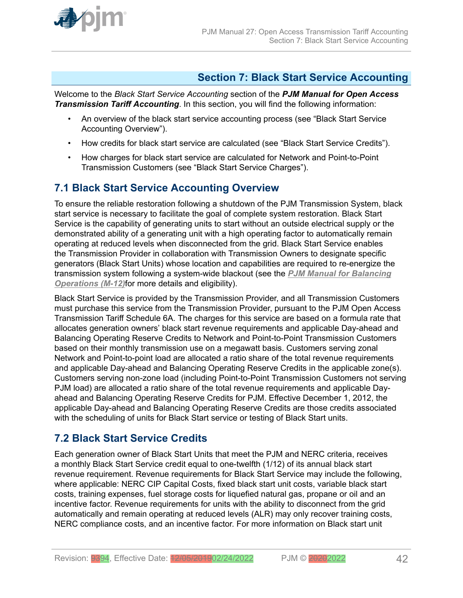<span id="page-41-0"></span>

## **Section 7: Black Start Service Accounting**

Welcome to the *Black Start Service Accounting* section of the *PJM Manual for Open Access Transmission Tariff Accounting*. In this section, you will find the following information:

- An overview of the black start service accounting process (see "Black Start Service Accounting Overview").
- How credits for black start service are calculated (see "Black Start Service Credits").
- How charges for black start service are calculated for Network and Point-to-Point Transmission Customers (see "Black Start Service Charges").

## **7.1 Black Start Service Accounting Overview**

To ensure the reliable restoration following a shutdown of the PJM Transmission System, black start service is necessary to facilitate the goal of complete system restoration. Black Start Service is the capability of generating units to start without an outside electrical supply or the demonstrated ability of a generating unit with a high operating factor to automatically remain operating at reduced levels when disconnected from the grid. Black Start Service enables the Transmission Provider in collaboration with Transmission Owners to designate specific generators (Black Start Units) whose location and capabilities are required to re-energize the transmission system following a system-wide blackout (see the *[PJM Manual for Balancing](http://www.pjm.com/~/media/documents/manuals/m12.ashx) [Operations \(M-12\)](http://www.pjm.com/~/media/documents/manuals/m12.ashx)*for more details and eligibility).

Black Start Service is provided by the Transmission Provider, and all Transmission Customers must purchase this service from the Transmission Provider, pursuant to the PJM Open Access Transmission Tariff Schedule 6A. The charges for this service are based on a formula rate that allocates generation owners' black start revenue requirements and applicable Day-ahead and Balancing Operating Reserve Credits to Network and Point-to-Point Transmission Customers based on their monthly transmission use on a megawatt basis. Customers serving zonal Network and Point-to-point load are allocated a ratio share of the total revenue requirements and applicable Day-ahead and Balancing Operating Reserve Credits in the applicable zone(s). Customers serving non-zone load (including Point-to-Point Transmission Customers not serving PJM load) are allocated a ratio share of the total revenue requirements and applicable Dayahead and Balancing Operating Reserve Credits for PJM. Effective December 1, 2012, the applicable Day-ahead and Balancing Operating Reserve Credits are those credits associated with the scheduling of units for Black Start service or testing of Black Start units.

## **7.2 Black Start Service Credits**

Each generation owner of Black Start Units that meet the PJM and NERC criteria, receives a monthly Black Start Service credit equal to one-twelfth (1/12) of its annual black start revenue requirement. Revenue requirements for Black Start Service may include the following, where applicable: NERC CIP Capital Costs, fixed black start unit costs, variable black start costs, training expenses, fuel storage costs for liquefied natural gas, propane or oil and an incentive factor. Revenue requirements for units with the ability to disconnect from the grid automatically and remain operating at reduced levels (ALR) may only recover training costs, NERC compliance costs, and an incentive factor. For more information on Black start unit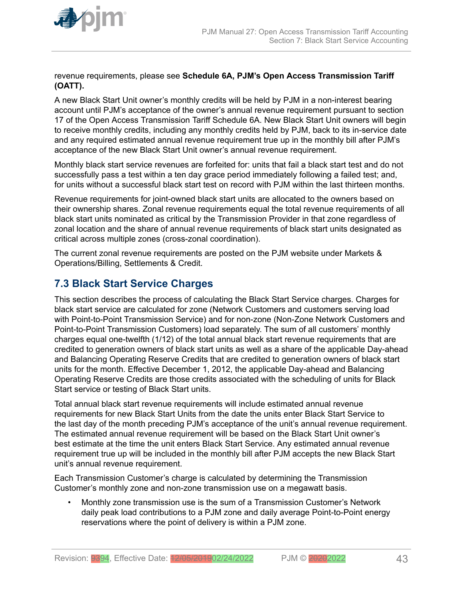<span id="page-42-0"></span>

revenue requirements, please see **Schedule 6A, PJM's Open Access Transmission Tariff (OATT).**

A new Black Start Unit owner's monthly credits will be held by PJM in a non-interest bearing account until PJM's acceptance of the owner's annual revenue requirement pursuant to section 17 of the Open Access Transmission Tariff Schedule 6A. New Black Start Unit owners will begin to receive monthly credits, including any monthly credits held by PJM, back to its in-service date and any required estimated annual revenue requirement true up in the monthly bill after PJM's acceptance of the new Black Start Unit owner's annual revenue requirement.

Monthly black start service revenues are forfeited for: units that fail a black start test and do not successfully pass a test within a ten day grace period immediately following a failed test; and, for units without a successful black start test on record with PJM within the last thirteen months.

Revenue requirements for joint-owned black start units are allocated to the owners based on their ownership shares. Zonal revenue requirements equal the total revenue requirements of all black start units nominated as critical by the Transmission Provider in that zone regardless of zonal location and the share of annual revenue requirements of black start units designated as critical across multiple zones (cross-zonal coordination).

The current zonal revenue requirements are posted on the PJM website under Markets & Operations/Billing, Settlements & Credit.

## **7.3 Black Start Service Charges**

This section describes the process of calculating the Black Start Service charges. Charges for black start service are calculated for zone (Network Customers and customers serving load with Point-to-Point Transmission Service) and for non-zone (Non-Zone Network Customers and Point-to-Point Transmission Customers) load separately. The sum of all customers' monthly charges equal one-twelfth (1/12) of the total annual black start revenue requirements that are credited to generation owners of black start units as well as a share of the applicable Day-ahead and Balancing Operating Reserve Credits that are credited to generation owners of black start units for the month. Effective December 1, 2012, the applicable Day-ahead and Balancing Operating Reserve Credits are those credits associated with the scheduling of units for Black Start service or testing of Black Start units.

Total annual black start revenue requirements will include estimated annual revenue requirements for new Black Start Units from the date the units enter Black Start Service to the last day of the month preceding PJM's acceptance of the unit's annual revenue requirement. The estimated annual revenue requirement will be based on the Black Start Unit owner's best estimate at the time the unit enters Black Start Service. Any estimated annual revenue requirement true up will be included in the monthly bill after PJM accepts the new Black Start unit's annual revenue requirement.

Each Transmission Customer's charge is calculated by determining the Transmission Customer's monthly zone and non-zone transmission use on a megawatt basis.

• Monthly zone transmission use is the sum of a Transmission Customer's Network daily peak load contributions to a PJM zone and daily average Point-to-Point energy reservations where the point of delivery is within a PJM zone.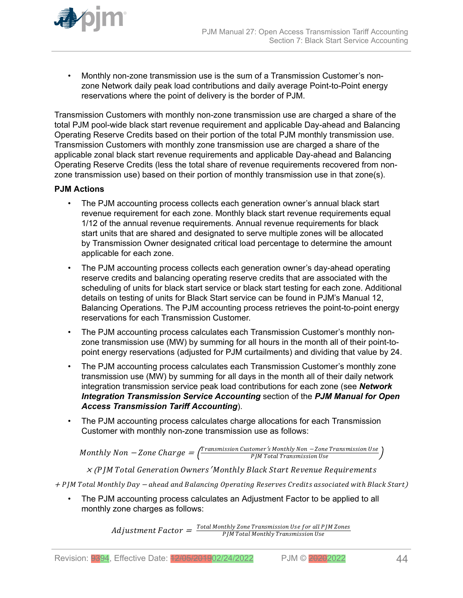

• Monthly non-zone transmission use is the sum of a Transmission Customer's nonzone Network daily peak load contributions and daily average Point-to-Point energy reservations where the point of delivery is the border of PJM.

Transmission Customers with monthly non-zone transmission use are charged a share of the total PJM pool-wide black start revenue requirement and applicable Day-ahead and Balancing Operating Reserve Credits based on their portion of the total PJM monthly transmission use. Transmission Customers with monthly zone transmission use are charged a share of the applicable zonal black start revenue requirements and applicable Day-ahead and Balancing Operating Reserve Credits (less the total share of revenue requirements recovered from nonzone transmission use) based on their portion of monthly transmission use in that zone(s).

## **PJM Actions**

- The PJM accounting process collects each generation owner's annual black start revenue requirement for each zone. Monthly black start revenue requirements equal 1/12 of the annual revenue requirements. Annual revenue requirements for black start units that are shared and designated to serve multiple zones will be allocated by Transmission Owner designated critical load percentage to determine the amount applicable for each zone.
- The PJM accounting process collects each generation owner's day-ahead operating reserve credits and balancing operating reserve credits that are associated with the scheduling of units for black start service or black start testing for each zone. Additional details on testing of units for Black Start service can be found in PJM's Manual 12, Balancing Operations. The PJM accounting process retrieves the point-to-point energy reservations for each Transmission Customer.
- The PJM accounting process calculates each Transmission Customer's monthly nonzone transmission use (MW) by summing for all hours in the month all of their point-topoint energy reservations (adjusted for PJM curtailments) and dividing that value by 24.
- The PJM accounting process calculates each Transmission Customer's monthly zone transmission use (MW) by summing for all days in the month all of their daily network integration transmission service peak load contributions for each zone (see *Network Integration Transmission Service Accounting* section of the *PJM Manual for Open Access Transmission Tariff Accounting*).
- The PJM accounting process calculates charge allocations for each Transmission Customer with monthly non-zone transmission use as follows:

 $\emph{Monthly Non}-\emph{Zone Charge}=\frac{\emph{Transmission Customer's Monthly Non}-\emph{Zone Transmission Use}}{\emph{PIM Total Transmission Use}}$ PJM Total Transmission Use

 $\times$  (PJM Total Generation Owners' Monthly Black Start Revenue Requirements

<sup>+</sup>PJM Total Montℎly Day <sup>−</sup> aℎead and Balancing Operating Reserves Credits associated witℎ Black Start)

• The PJM accounting process calculates an Adjustment Factor to be applied to all monthly zone charges as follows:

> $\emph{Adjustument Factor} = \frac{\emph{Total Monthly} \emph{Zone} \emph{Transmission Use} \emph{for all PJM} \emph{Zones}}{\emph{PJM Total Monthly} \emph{Transmission Use}}$ PJM Total Montℎly Transmission Use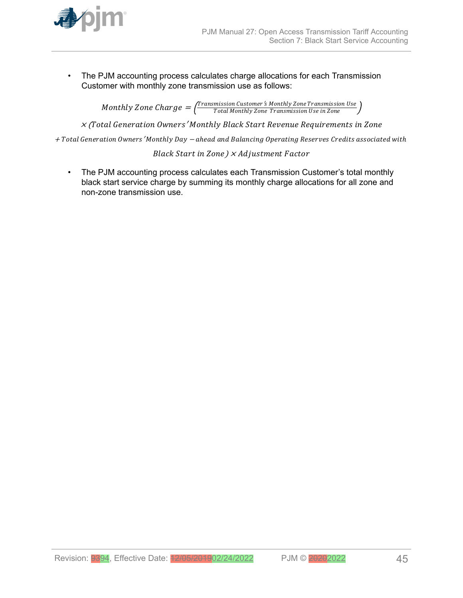

• The PJM accounting process calculates charge allocations for each Transmission Customer with monthly zone transmission use as follows:

> $\emph{Monthly}$   $\emph{Zone}$   $\emph{Charge} = \frac{\emph{Transmission Customer's Monthly} }{\emph{Total Monthly} }$   $\emph{Zone}$   $\emph{Transmission Use in}$   $\emph{Zone}$ Total Montℎly Zone Transmission Use in Zone

<sup>×</sup> (Total Generation Owners′ Montℎly Black Start Revenue Requirements in Zone

<sup>+</sup>Total Generation Owners′ Montℎly Day <sup>−</sup> aℎead and Balancing Operating Reserves Credits associated witℎ

Black Start in Zone)  $\times$  Ad justment Factor

• The PJM accounting process calculates each Transmission Customer's total monthly black start service charge by summing its monthly charge allocations for all zone and non-zone transmission use.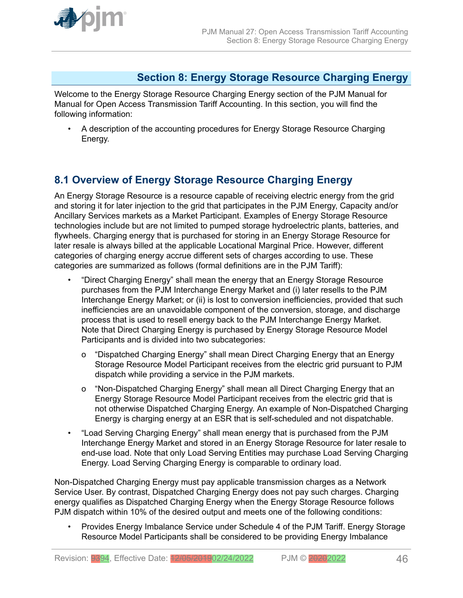<span id="page-45-0"></span>

## **Section 8: Energy Storage Resource Charging Energy**

Welcome to the Energy Storage Resource Charging Energy section of the PJM Manual for Manual for Open Access Transmission Tariff Accounting. In this section, you will find the following information:

• A description of the accounting procedures for Energy Storage Resource Charging Energy.

## **8.1 Overview of Energy Storage Resource Charging Energy**

An Energy Storage Resource is a resource capable of receiving electric energy from the grid and storing it for later injection to the grid that participates in the PJM Energy, Capacity and/or Ancillary Services markets as a Market Participant. Examples of Energy Storage Resource technologies include but are not limited to pumped storage hydroelectric plants, batteries, and flywheels. Charging energy that is purchased for storing in an Energy Storage Resource for later resale is always billed at the applicable Locational Marginal Price. However, different categories of charging energy accrue different sets of charges according to use. These categories are summarized as follows (formal definitions are in the PJM Tariff):

- "Direct Charging Energy" shall mean the energy that an Energy Storage Resource purchases from the PJM Interchange Energy Market and (i) later resells to the PJM Interchange Energy Market; or (ii) is lost to conversion inefficiencies, provided that such inefficiencies are an unavoidable component of the conversion, storage, and discharge process that is used to resell energy back to the PJM Interchange Energy Market. Note that Direct Charging Energy is purchased by Energy Storage Resource Model Participants and is divided into two subcategories:
	- o "Dispatched Charging Energy" shall mean Direct Charging Energy that an Energy Storage Resource Model Participant receives from the electric grid pursuant to PJM dispatch while providing a service in the PJM markets.
	- o "Non-Dispatched Charging Energy" shall mean all Direct Charging Energy that an Energy Storage Resource Model Participant receives from the electric grid that is not otherwise Dispatched Charging Energy. An example of Non-Dispatched Charging Energy is charging energy at an ESR that is self-scheduled and not dispatchable.
- "Load Serving Charging Energy" shall mean energy that is purchased from the PJM Interchange Energy Market and stored in an Energy Storage Resource for later resale to end-use load. Note that only Load Serving Entities may purchase Load Serving Charging Energy. Load Serving Charging Energy is comparable to ordinary load.

Non-Dispatched Charging Energy must pay applicable transmission charges as a Network Service User. By contrast, Dispatched Charging Energy does not pay such charges. Charging energy qualifies as Dispatched Charging Energy when the Energy Storage Resource follows PJM dispatch within 10% of the desired output and meets one of the following conditions:

• Provides Energy Imbalance Service under Schedule 4 of the PJM Tariff. Energy Storage Resource Model Participants shall be considered to be providing Energy Imbalance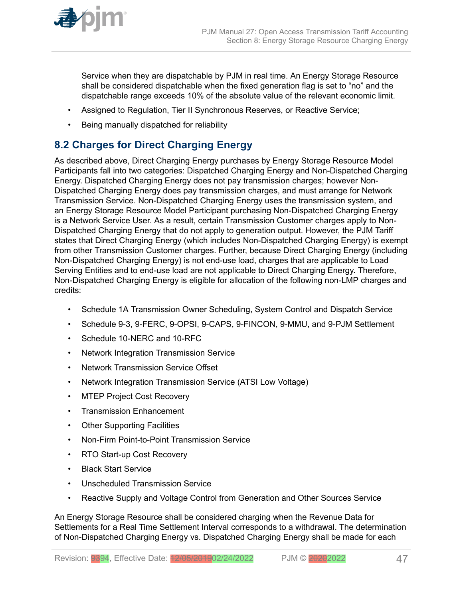<span id="page-46-0"></span>

Service when they are dispatchable by PJM in real time. An Energy Storage Resource shall be considered dispatchable when the fixed generation flag is set to "no" and the dispatchable range exceeds 10% of the absolute value of the relevant economic limit.

- Assigned to Regulation, Tier II Synchronous Reserves, or Reactive Service;
- Being manually dispatched for reliability

## **8.2 Charges for Direct Charging Energy**

As described above, Direct Charging Energy purchases by Energy Storage Resource Model Participants fall into two categories: Dispatched Charging Energy and Non-Dispatched Charging Energy. Dispatched Charging Energy does not pay transmission charges; however Non-Dispatched Charging Energy does pay transmission charges, and must arrange for Network Transmission Service. Non-Dispatched Charging Energy uses the transmission system, and an Energy Storage Resource Model Participant purchasing Non-Dispatched Charging Energy is a Network Service User. As a result, certain Transmission Customer charges apply to Non-Dispatched Charging Energy that do not apply to generation output. However, the PJM Tariff states that Direct Charging Energy (which includes Non-Dispatched Charging Energy) is exempt from other Transmission Customer charges. Further, because Direct Charging Energy (including Non-Dispatched Charging Energy) is not end-use load, charges that are applicable to Load Serving Entities and to end-use load are not applicable to Direct Charging Energy. Therefore, Non-Dispatched Charging Energy is eligible for allocation of the following non-LMP charges and credits:

- Schedule 1A Transmission Owner Scheduling, System Control and Dispatch Service
- Schedule 9-3, 9-FERC, 9-OPSI, 9-CAPS, 9-FINCON, 9-MMU, and 9-PJM Settlement
- Schedule 10-NERC and 10-RFC
- Network Integration Transmission Service
- Network Transmission Service Offset
- Network Integration Transmission Service (ATSI Low Voltage)
- MTEP Project Cost Recovery
- Transmission Enhancement
- Other Supporting Facilities
- Non-Firm Point-to-Point Transmission Service
- RTO Start-up Cost Recovery
- Black Start Service
- Unscheduled Transmission Service
- Reactive Supply and Voltage Control from Generation and Other Sources Service

An Energy Storage Resource shall be considered charging when the Revenue Data for Settlements for a Real Time Settlement Interval corresponds to a withdrawal. The determination of Non-Dispatched Charging Energy vs. Dispatched Charging Energy shall be made for each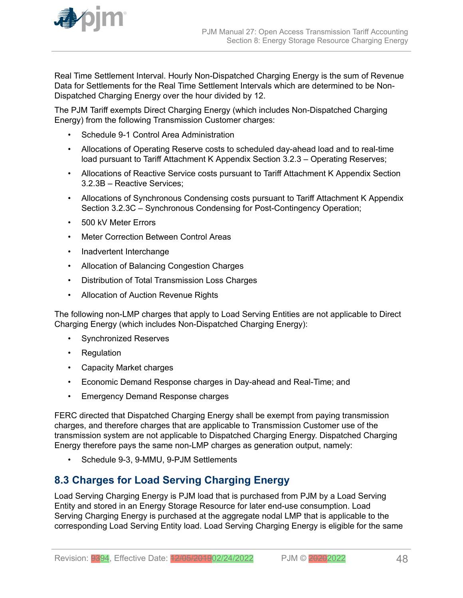<span id="page-47-0"></span>

Real Time Settlement Interval. Hourly Non-Dispatched Charging Energy is the sum of Revenue Data for Settlements for the Real Time Settlement Intervals which are determined to be Non-Dispatched Charging Energy over the hour divided by 12.

The PJM Tariff exempts Direct Charging Energy (which includes Non-Dispatched Charging Energy) from the following Transmission Customer charges:

- Schedule 9-1 Control Area Administration
- Allocations of Operating Reserve costs to scheduled day-ahead load and to real-time load pursuant to Tariff Attachment K Appendix Section 3.2.3 – Operating Reserves;
- Allocations of Reactive Service costs pursuant to Tariff Attachment K Appendix Section 3.2.3B – Reactive Services;
- Allocations of Synchronous Condensing costs pursuant to Tariff Attachment K Appendix Section 3.2.3C – Synchronous Condensing for Post-Contingency Operation;
- 500 kV Meter Errors
- **Meter Correction Between Control Areas**
- Inadvertent Interchange
- Allocation of Balancing Congestion Charges
- Distribution of Total Transmission Loss Charges
- Allocation of Auction Revenue Rights

The following non-LMP charges that apply to Load Serving Entities are not applicable to Direct Charging Energy (which includes Non-Dispatched Charging Energy):

- Synchronized Reserves
- Regulation
- Capacity Market charges
- Economic Demand Response charges in Day-ahead and Real-Time; and
- Emergency Demand Response charges

FERC directed that Dispatched Charging Energy shall be exempt from paying transmission charges, and therefore charges that are applicable to Transmission Customer use of the transmission system are not applicable to Dispatched Charging Energy. Dispatched Charging Energy therefore pays the same non-LMP charges as generation output, namely:

• Schedule 9-3, 9-MMU, 9-PJM Settlements

## **8.3 Charges for Load Serving Charging Energy**

Load Serving Charging Energy is PJM load that is purchased from PJM by a Load Serving Entity and stored in an Energy Storage Resource for later end-use consumption. Load Serving Charging Energy is purchased at the aggregate nodal LMP that is applicable to the corresponding Load Serving Entity load. Load Serving Charging Energy is eligible for the same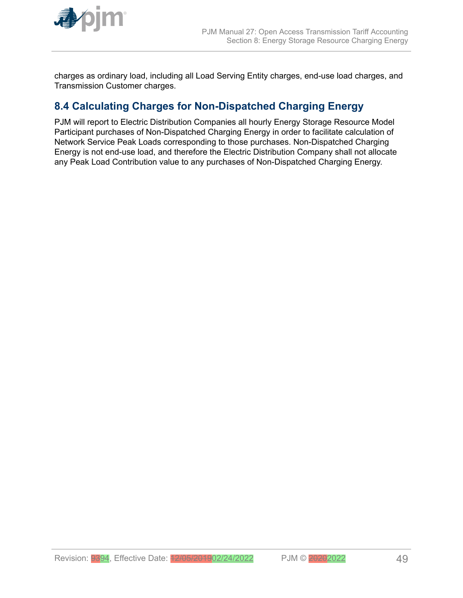<span id="page-48-0"></span>

charges as ordinary load, including all Load Serving Entity charges, end-use load charges, and Transmission Customer charges.

## **8.4 Calculating Charges for Non-Dispatched Charging Energy**

PJM will report to Electric Distribution Companies all hourly Energy Storage Resource Model Participant purchases of Non-Dispatched Charging Energy in order to facilitate calculation of Network Service Peak Loads corresponding to those purchases. Non-Dispatched Charging Energy is not end-use load, and therefore the Electric Distribution Company shall not allocate any Peak Load Contribution value to any purchases of Non-Dispatched Charging Energy.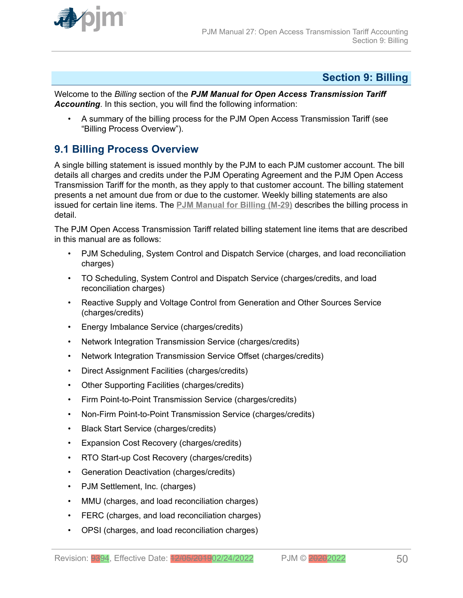<span id="page-49-0"></span>

## **Section 9: Billing**

Welcome to the *Billing* section of the *PJM Manual for Open Access Transmission Tariff Accounting*. In this section, you will find the following information:

• A summary of the billing process for the PJM Open Access Transmission Tariff (see "Billing Process Overview").

## **9.1 Billing Process Overview**

A single billing statement is issued monthly by the PJM to each PJM customer account. The bill details all charges and credits under the PJM Operating Agreement and the PJM Open Access Transmission Tariff for the month, as they apply to that customer account. The billing statement presents a net amount due from or due to the customer. Weekly billing statements are also issued for certain line items. The **[PJM Manual for Billing \(M-29\)](http://www.pjm.com/~/media/documents/manuals/m29.ashx)** describes the billing process in detail.

The PJM Open Access Transmission Tariff related billing statement line items that are described in this manual are as follows:

- PJM Scheduling, System Control and Dispatch Service (charges, and load reconciliation charges)
- TO Scheduling, System Control and Dispatch Service (charges/credits, and load reconciliation charges)
- Reactive Supply and Voltage Control from Generation and Other Sources Service (charges/credits)
- Energy Imbalance Service (charges/credits)
- Network Integration Transmission Service (charges/credits)
- Network Integration Transmission Service Offset (charges/credits)
- Direct Assignment Facilities (charges/credits)
- Other Supporting Facilities (charges/credits)
- Firm Point-to-Point Transmission Service (charges/credits)
- Non-Firm Point-to-Point Transmission Service (charges/credits)
- Black Start Service (charges/credits)
- Expansion Cost Recovery (charges/credits)
- RTO Start-up Cost Recovery (charges/credits)
- Generation Deactivation (charges/credits)
- PJM Settlement, Inc. (charges)
- MMU (charges, and load reconciliation charges)
- FERC (charges, and load reconciliation charges)
- OPSI (charges, and load reconciliation charges)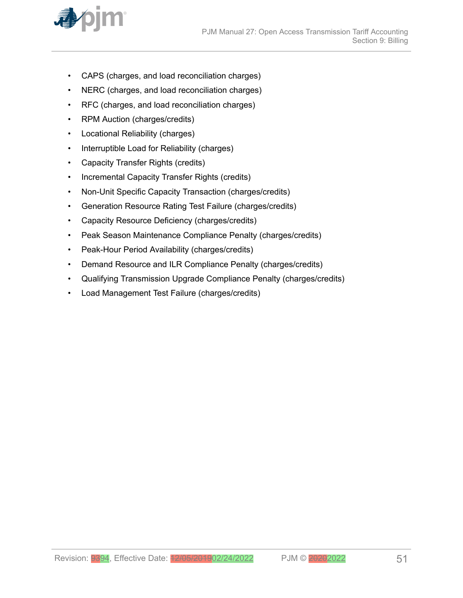

- CAPS (charges, and load reconciliation charges)
- NERC (charges, and load reconciliation charges)
- RFC (charges, and load reconciliation charges)
- RPM Auction (charges/credits)
- Locational Reliability (charges)
- Interruptible Load for Reliability (charges)
- Capacity Transfer Rights (credits)
- Incremental Capacity Transfer Rights (credits)
- Non-Unit Specific Capacity Transaction (charges/credits)
- Generation Resource Rating Test Failure (charges/credits)
- Capacity Resource Deficiency (charges/credits)
- Peak Season Maintenance Compliance Penalty (charges/credits)
- Peak-Hour Period Availability (charges/credits)
- Demand Resource and ILR Compliance Penalty (charges/credits)
- Qualifying Transmission Upgrade Compliance Penalty (charges/credits)
- Load Management Test Failure (charges/credits)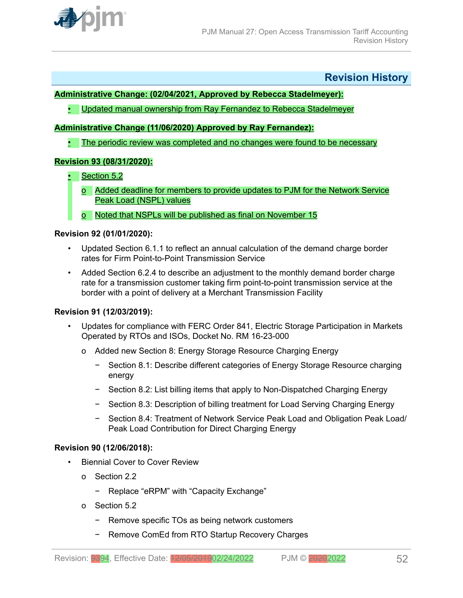<span id="page-51-0"></span>

## **Revision History**

### **Administrative Change: (02/04/2021, Approved by Rebecca Stadelmeyer):**

• Updated manual ownership from Ray Fernandez to Rebecca Stadelmeyer

## **Administrative Change (11/06/2020) Approved by Ray Fernandez):**

• The periodic review was completed and no changes were found to be necessary

### **Revision 93 (08/31/2020):**

- Section 5.2
	- o Added deadline for members to provide updates to PJM for the Network Service Peak Load (NSPL) values
	- o Noted that NSPLs will be published as final on November 15

### **Revision 92 (01/01/2020):**

- Updated Section 6.1.1 to reflect an annual calculation of the demand charge border rates for Firm Point-to-Point Transmission Service
- Added Section 6.2.4 to describe an adjustment to the monthly demand border charge rate for a transmission customer taking firm point-to-point transmission service at the border with a point of delivery at a Merchant Transmission Facility

### **Revision 91 (12/03/2019):**

- Updates for compliance with FERC Order 841, Electric Storage Participation in Markets Operated by RTOs and ISOs, Docket No. RM 16-23-000
	- o Added new Section 8: Energy Storage Resource Charging Energy
		- − Section 8.1: Describe different categories of Energy Storage Resource charging energy
		- − Section 8.2: List billing items that apply to Non-Dispatched Charging Energy
		- − Section 8.3: Description of billing treatment for Load Serving Charging Energy
		- − Section 8.4: Treatment of Network Service Peak Load and Obligation Peak Load/ Peak Load Contribution for Direct Charging Energy

### **Revision 90 (12/06/2018):**

- Biennial Cover to Cover Review
	- o Section 2.2
		- − Replace "eRPM" with "Capacity Exchange"
	- o Section 5.2
		- − Remove specific TOs as being network customers
		- − Remove ComEd from RTO Startup Recovery Charges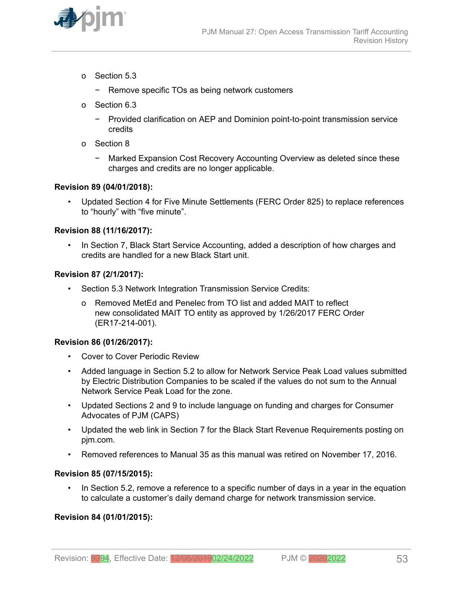

- o Section 5.3
	- − Remove specific TOs as being network customers
- o Section 6.3
	- − Provided clarification on AEP and Dominion point-to-point transmission service credits
- o Section 8
	- − Marked Expansion Cost Recovery Accounting Overview as deleted since these charges and credits are no longer applicable.

#### **Revision 89 (04/01/2018):**

• Updated Section 4 for Five Minute Settlements (FERC Order 825) to replace references to "hourly" with "five minute".

#### **Revision 88 (11/16/2017):**

In Section 7, Black Start Service Accounting, added a description of how charges and credits are handled for a new Black Start unit.

#### **Revision 87 (2/1/2017):**

- Section 5.3 Network Integration Transmission Service Credits:
	- o Removed MetEd and Penelec from TO list and added MAIT to reflect new consolidated MAIT TO entity as approved by 1/26/2017 FERC Order (ER17-214-001).

#### **Revision 86 (01/26/2017):**

- Cover to Cover Periodic Review
- Added language in Section 5.2 to allow for Network Service Peak Load values submitted by Electric Distribution Companies to be scaled if the values do not sum to the Annual Network Service Peak Load for the zone.
- Updated Sections 2 and 9 to include language on funding and charges for Consumer Advocates of PJM (CAPS)
- Updated the web link in Section 7 for the Black Start Revenue Requirements posting on pjm.com.
- Removed references to Manual 35 as this manual was retired on November 17, 2016.

#### **Revision 85 (07/15/2015):**

In Section 5.2, remove a reference to a specific number of days in a year in the equation to calculate a customer's daily demand charge for network transmission service.

#### **Revision 84 (01/01/2015):**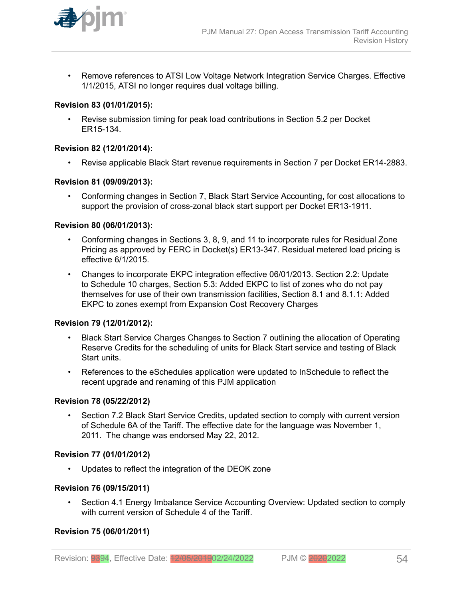

• Remove references to ATSI Low Voltage Network Integration Service Charges. Effective 1/1/2015, ATSI no longer requires dual voltage billing.

#### **Revision 83 (01/01/2015):**

• Revise submission timing for peak load contributions in Section 5.2 per Docket ER15-134.

#### **Revision 82 (12/01/2014):**

• Revise applicable Black Start revenue requirements in Section 7 per Docket ER14-2883.

#### **Revision 81 (09/09/2013):**

• Conforming changes in Section 7, Black Start Service Accounting, for cost allocations to support the provision of cross-zonal black start support per Docket ER13-1911.

#### **Revision 80 (06/01/2013):**

- Conforming changes in Sections 3, 8, 9, and 11 to incorporate rules for Residual Zone Pricing as approved by FERC in Docket(s) ER13-347. Residual metered load pricing is effective 6/1/2015.
- Changes to incorporate EKPC integration effective 06/01/2013. Section 2.2: Update to Schedule 10 charges, Section 5.3: Added EKPC to list of zones who do not pay themselves for use of their own transmission facilities, Section 8.1 and 8.1.1: Added EKPC to zones exempt from Expansion Cost Recovery Charges

### **Revision 79 (12/01/2012):**

- Black Start Service Charges Changes to Section 7 outlining the allocation of Operating Reserve Credits for the scheduling of units for Black Start service and testing of Black Start units.
- References to the eSchedules application were updated to InSchedule to reflect the recent upgrade and renaming of this PJM application

#### **Revision 78 (05/22/2012)**

• Section 7.2 Black Start Service Credits, updated section to comply with current version of Schedule 6A of the Tariff. The effective date for the language was November 1, 2011. The change was endorsed May 22, 2012.

### **Revision 77 (01/01/2012)**

• Updates to reflect the integration of the DEOK zone

#### **Revision 76 (09/15/2011)**

• Section 4.1 Energy Imbalance Service Accounting Overview: Updated section to comply with current version of Schedule 4 of the Tariff.

### **Revision 75 (06/01/2011)**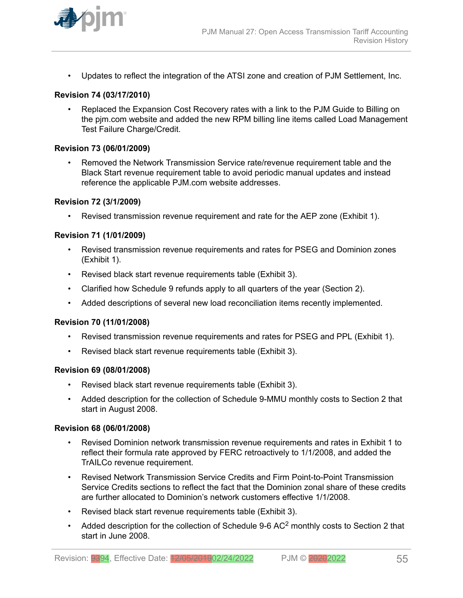

• Updates to reflect the integration of the ATSI zone and creation of PJM Settlement, Inc.

#### **Revision 74 (03/17/2010)**

• Replaced the Expansion Cost Recovery rates with a link to the PJM Guide to Billing on the pjm.com website and added the new RPM billing line items called Load Management Test Failure Charge/Credit.

#### **Revision 73 (06/01/2009)**

• Removed the Network Transmission Service rate/revenue requirement table and the Black Start revenue requirement table to avoid periodic manual updates and instead reference the applicable PJM.com website addresses.

#### **Revision 72 (3/1/2009)**

• Revised transmission revenue requirement and rate for the AEP zone (Exhibit 1).

#### **Revision 71 (1/01/2009)**

- Revised transmission revenue requirements and rates for PSEG and Dominion zones (Exhibit 1).
- Revised black start revenue requirements table (Exhibit 3).
- Clarified how Schedule 9 refunds apply to all quarters of the year (Section 2).
- Added descriptions of several new load reconciliation items recently implemented.

#### **Revision 70 (11/01/2008)**

- Revised transmission revenue requirements and rates for PSEG and PPL (Exhibit 1).
- Revised black start revenue requirements table (Exhibit 3).

#### **Revision 69 (08/01/2008)**

- Revised black start revenue requirements table (Exhibit 3).
- Added description for the collection of Schedule 9-MMU monthly costs to Section 2 that start in August 2008.

#### **Revision 68 (06/01/2008)**

- Revised Dominion network transmission revenue requirements and rates in Exhibit 1 to reflect their formula rate approved by FERC retroactively to 1/1/2008, and added the TrAILCo revenue requirement.
- Revised Network Transmission Service Credits and Firm Point-to-Point Transmission Service Credits sections to reflect the fact that the Dominion zonal share of these credits are further allocated to Dominion's network customers effective 1/1/2008.
- Revised black start revenue requirements table (Exhibit 3).
- Added description for the collection of Schedule 9-6 AC<sup>2</sup> monthly costs to Section 2 that start in June 2008.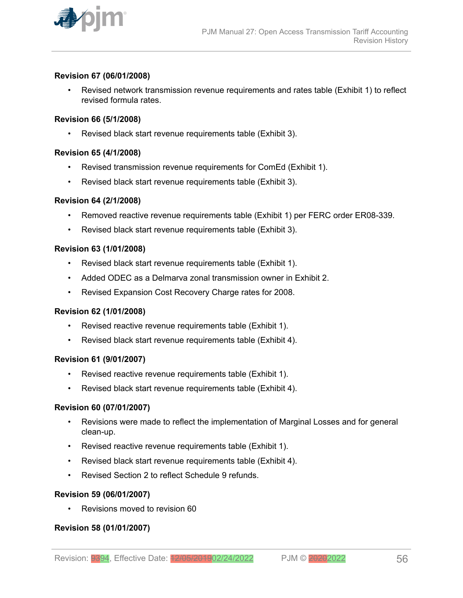

### **Revision 67 (06/01/2008)**

• Revised network transmission revenue requirements and rates table (Exhibit 1) to reflect revised formula rates.

#### **Revision 66 (5/1/2008)**

• Revised black start revenue requirements table (Exhibit 3).

#### **Revision 65 (4/1/2008)**

- Revised transmission revenue requirements for ComEd (Exhibit 1).
- Revised black start revenue requirements table (Exhibit 3).

#### **Revision 64 (2/1/2008)**

- Removed reactive revenue requirements table (Exhibit 1) per FERC order ER08-339.
- Revised black start revenue requirements table (Exhibit 3).

#### **Revision 63 (1/01/2008)**

- Revised black start revenue requirements table (Exhibit 1).
- Added ODEC as a Delmarva zonal transmission owner in Exhibit 2.
- Revised Expansion Cost Recovery Charge rates for 2008.

#### **Revision 62 (1/01/2008)**

- Revised reactive revenue requirements table (Exhibit 1).
- Revised black start revenue requirements table (Exhibit 4).

#### **Revision 61 (9/01/2007)**

- Revised reactive revenue requirements table (Exhibit 1).
- Revised black start revenue requirements table (Exhibit 4).

#### **Revision 60 (07/01/2007)**

- Revisions were made to reflect the implementation of Marginal Losses and for general clean-up.
- Revised reactive revenue requirements table (Exhibit 1).
- Revised black start revenue requirements table (Exhibit 4).
- Revised Section 2 to reflect Schedule 9 refunds

### **Revision 59 (06/01/2007)**

• Revisions moved to revision 60

### **Revision 58 (01/01/2007)**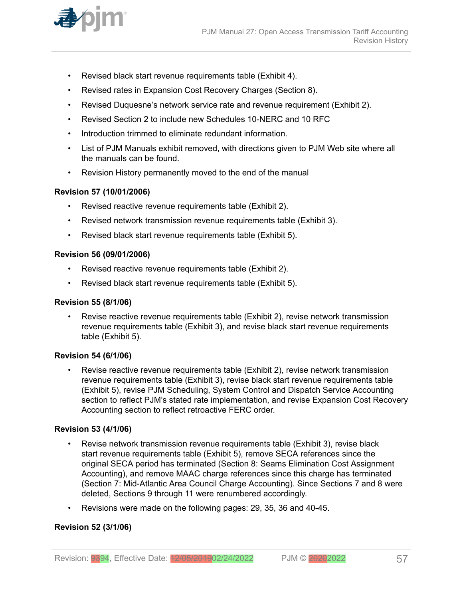

- Revised black start revenue requirements table (Exhibit 4).
- Revised rates in Expansion Cost Recovery Charges (Section 8).
- Revised Duquesne's network service rate and revenue requirement (Exhibit 2).
- Revised Section 2 to include new Schedules 10-NERC and 10 RFC
- Introduction trimmed to eliminate redundant information.
- List of PJM Manuals exhibit removed, with directions given to PJM Web site where all the manuals can be found.
- Revision History permanently moved to the end of the manual

#### **Revision 57 (10/01/2006)**

- Revised reactive revenue requirements table (Exhibit 2).
- Revised network transmission revenue requirements table (Exhibit 3).
- Revised black start revenue requirements table (Exhibit 5).

#### **Revision 56 (09/01/2006)**

- Revised reactive revenue requirements table (Exhibit 2).
- Revised black start revenue requirements table (Exhibit 5).

#### **Revision 55 (8/1/06)**

• Revise reactive revenue requirements table (Exhibit 2), revise network transmission revenue requirements table (Exhibit 3), and revise black start revenue requirements table (Exhibit 5).

#### **Revision 54 (6/1/06)**

• Revise reactive revenue requirements table (Exhibit 2), revise network transmission revenue requirements table (Exhibit 3), revise black start revenue requirements table (Exhibit 5), revise PJM Scheduling, System Control and Dispatch Service Accounting section to reflect PJM's stated rate implementation, and revise Expansion Cost Recovery Accounting section to reflect retroactive FERC order.

#### **Revision 53 (4/1/06)**

- Revise network transmission revenue requirements table (Exhibit 3), revise black start revenue requirements table (Exhibit 5), remove SECA references since the original SECA period has terminated (Section 8: Seams Elimination Cost Assignment Accounting), and remove MAAC charge references since this charge has terminated (Section 7: Mid-Atlantic Area Council Charge Accounting). Since Sections 7 and 8 were deleted, Sections 9 through 11 were renumbered accordingly.
- Revisions were made on the following pages: 29, 35, 36 and 40-45.

### **Revision 52 (3/1/06)**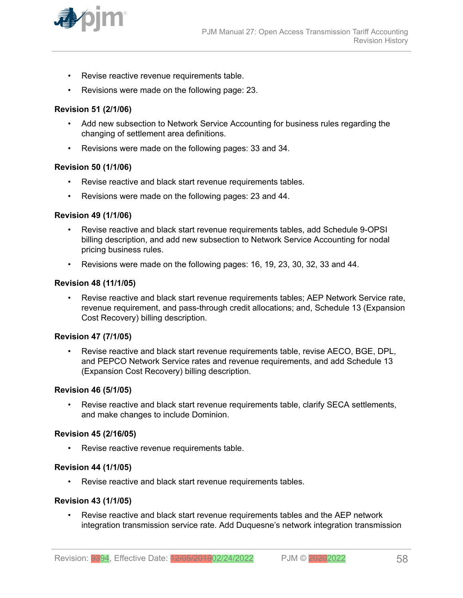

- Revise reactive revenue requirements table.
- Revisions were made on the following page: 23.

#### **Revision 51 (2/1/06)**

- Add new subsection to Network Service Accounting for business rules regarding the changing of settlement area definitions.
- Revisions were made on the following pages: 33 and 34.

#### **Revision 50 (1/1/06)**

- Revise reactive and black start revenue requirements tables.
- Revisions were made on the following pages: 23 and 44.

#### **Revision 49 (1/1/06)**

- Revise reactive and black start revenue requirements tables, add Schedule 9-OPSI billing description, and add new subsection to Network Service Accounting for nodal pricing business rules.
- Revisions were made on the following pages: 16, 19, 23, 30, 32, 33 and 44.

#### **Revision 48 (11/1/05)**

• Revise reactive and black start revenue requirements tables; AEP Network Service rate, revenue requirement, and pass-through credit allocations; and, Schedule 13 (Expansion Cost Recovery) billing description.

#### **Revision 47 (7/1/05)**

• Revise reactive and black start revenue requirements table, revise AECO, BGE, DPL, and PEPCO Network Service rates and revenue requirements, and add Schedule 13 (Expansion Cost Recovery) billing description.

#### **Revision 46 (5/1/05)**

• Revise reactive and black start revenue requirements table, clarify SECA settlements, and make changes to include Dominion.

#### **Revision 45 (2/16/05)**

• Revise reactive revenue requirements table.

#### **Revision 44 (1/1/05)**

• Revise reactive and black start revenue requirements tables.

#### **Revision 43 (1/1/05)**

• Revise reactive and black start revenue requirements tables and the AEP network integration transmission service rate. Add Duquesne's network integration transmission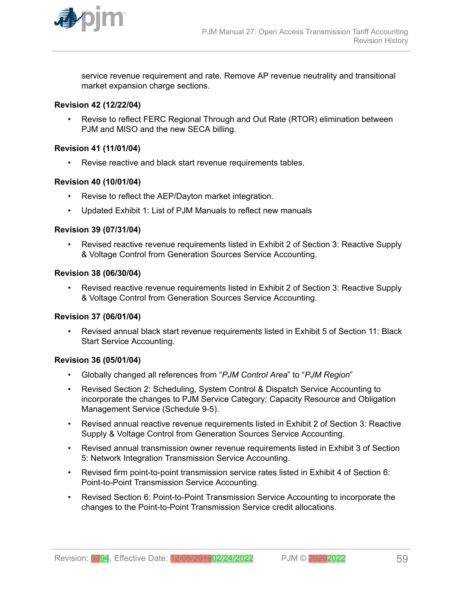

service revenue requirement and rate. Remove AP revenue neutrality and transitional market expansion charge sections.

### **Revision 42 (12/22/04)**

• Revise to reflect FERC Regional Through and Out Rate (RTOR) elimination between PJM and MISO and the new SECA billing.

#### **Revision 41 (11/01/04)**

• Revise reactive and black start revenue requirements tables.

#### **Revision 40 (10/01/04)**

- Revise to reflect the AEP/Dayton market integration.
- Updated Exhibit 1: List of PJM Manuals to reflect new manuals

#### **Revision 39 (07/31/04)**

• Revised reactive revenue requirements listed in Exhibit 2 of Section 3: Reactive Supply & Voltage Control from Generation Sources Service Accounting.

#### **Revision 38 (06/30/04)**

• Revised reactive revenue requirements listed in Exhibit 2 of Section 3: Reactive Supply & Voltage Control from Generation Sources Service Accounting.

#### **Revision 37 (06/01/04)**

• Revised annual black start revenue requirements listed in Exhibit 5 of Section 11: Black Start Service Accounting.

#### **Revision 36 (05/01/04)**

- Globally changed all references from "*PJM Control Area*" to "*PJM Region*"
- Revised Section 2: Scheduling, System Control & Dispatch Service Accounting to incorporate the changes to PJM Service Category; Capacity Resource and Obligation Management Service (Schedule 9-5).
- Revised annual reactive revenue requirements listed in Exhibit 2 of Section 3: Reactive Supply & Voltage Control from Generation Sources Service Accounting.
- Revised annual transmission owner revenue requirements listed in Exhibit 3 of Section 5: Network Integration Transmission Service Accounting.
- Revised firm point-to-point transmission service rates listed in Exhibit 4 of Section 6: Point-to-Point Transmission Service Accounting.
- Revised Section 6: Point-to-Point Transmission Service Accounting to incorporate the changes to the Point-to-Point Transmission Service credit allocations.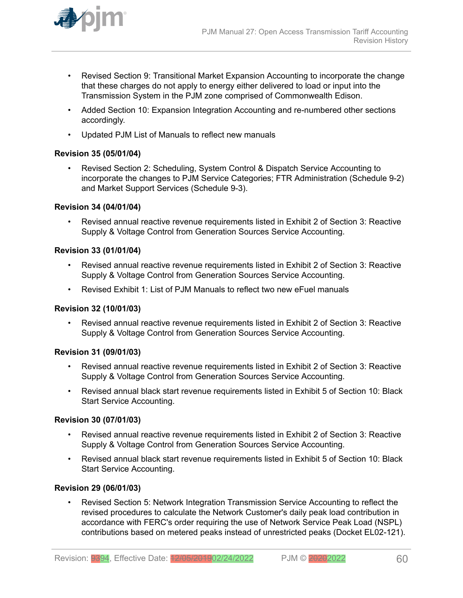

- Revised Section 9: Transitional Market Expansion Accounting to incorporate the change that these charges do not apply to energy either delivered to load or input into the Transmission System in the PJM zone comprised of Commonwealth Edison.
- Added Section 10: Expansion Integration Accounting and re-numbered other sections accordingly.
- Updated PJM List of Manuals to reflect new manuals

## **Revision 35 (05/01/04)**

• Revised Section 2: Scheduling, System Control & Dispatch Service Accounting to incorporate the changes to PJM Service Categories; FTR Administration (Schedule 9-2) and Market Support Services (Schedule 9-3).

### **Revision 34 (04/01/04)**

• Revised annual reactive revenue requirements listed in Exhibit 2 of Section 3: Reactive Supply & Voltage Control from Generation Sources Service Accounting.

## **Revision 33 (01/01/04)**

- Revised annual reactive revenue requirements listed in Exhibit 2 of Section 3: Reactive Supply & Voltage Control from Generation Sources Service Accounting.
- Revised Exhibit 1: List of PJM Manuals to reflect two new eFuel manuals

### **Revision 32 (10/01/03)**

• Revised annual reactive revenue requirements listed in Exhibit 2 of Section 3: Reactive Supply & Voltage Control from Generation Sources Service Accounting.

### **Revision 31 (09/01/03)**

- Revised annual reactive revenue requirements listed in Exhibit 2 of Section 3: Reactive Supply & Voltage Control from Generation Sources Service Accounting.
- Revised annual black start revenue requirements listed in Exhibit 5 of Section 10: Black Start Service Accounting.

### **Revision 30 (07/01/03)**

- Revised annual reactive revenue requirements listed in Exhibit 2 of Section 3: Reactive Supply & Voltage Control from Generation Sources Service Accounting.
- Revised annual black start revenue requirements listed in Exhibit 5 of Section 10: Black Start Service Accounting.

### **Revision 29 (06/01/03)**

• Revised Section 5: Network Integration Transmission Service Accounting to reflect the revised procedures to calculate the Network Customer's daily peak load contribution in accordance with FERC's order requiring the use of Network Service Peak Load (NSPL) contributions based on metered peaks instead of unrestricted peaks (Docket EL02-121).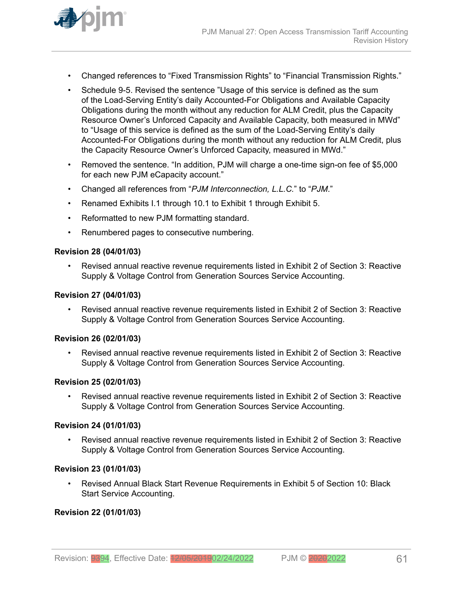

- Changed references to "Fixed Transmission Rights" to "Financial Transmission Rights."
- Schedule 9-5. Revised the sentence "Usage of this service is defined as the sum of the Load-Serving Entity's daily Accounted-For Obligations and Available Capacity Obligations during the month without any reduction for ALM Credit, plus the Capacity Resource Owner's Unforced Capacity and Available Capacity, both measured in MWd" to "Usage of this service is defined as the sum of the Load-Serving Entity's daily Accounted-For Obligations during the month without any reduction for ALM Credit, plus the Capacity Resource Owner's Unforced Capacity, measured in MWd."
- Removed the sentence. "In addition, PJM will charge a one-time sign-on fee of \$5,000 for each new PJM eCapacity account."
- Changed all references from "*PJM Interconnection, L.L.C.*" to "*PJM*."
- Renamed Exhibits I.1 through 10.1 to Exhibit 1 through Exhibit 5.
- Reformatted to new PJM formatting standard.
- Renumbered pages to consecutive numbering.

#### **Revision 28 (04/01/03)**

• Revised annual reactive revenue requirements listed in Exhibit 2 of Section 3: Reactive Supply & Voltage Control from Generation Sources Service Accounting.

#### **Revision 27 (04/01/03)**

• Revised annual reactive revenue requirements listed in Exhibit 2 of Section 3: Reactive Supply & Voltage Control from Generation Sources Service Accounting.

#### **Revision 26 (02/01/03)**

• Revised annual reactive revenue requirements listed in Exhibit 2 of Section 3: Reactive Supply & Voltage Control from Generation Sources Service Accounting.

#### **Revision 25 (02/01/03)**

• Revised annual reactive revenue requirements listed in Exhibit 2 of Section 3: Reactive Supply & Voltage Control from Generation Sources Service Accounting.

#### **Revision 24 (01/01/03)**

• Revised annual reactive revenue requirements listed in Exhibit 2 of Section 3: Reactive Supply & Voltage Control from Generation Sources Service Accounting.

#### **Revision 23 (01/01/03)**

• Revised Annual Black Start Revenue Requirements in Exhibit 5 of Section 10: Black Start Service Accounting.

#### **Revision 22 (01/01/03)**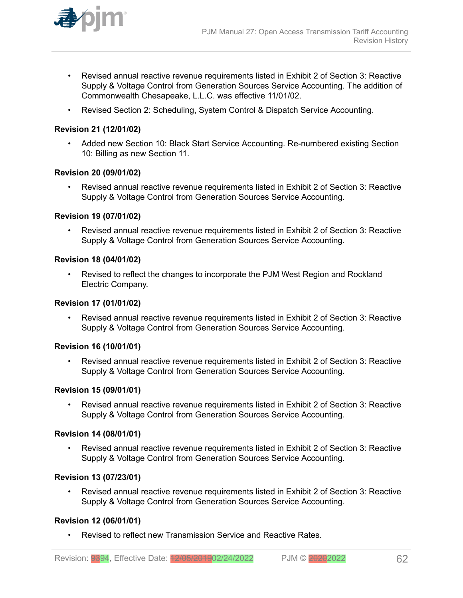

- Revised annual reactive revenue requirements listed in Exhibit 2 of Section 3: Reactive Supply & Voltage Control from Generation Sources Service Accounting. The addition of Commonwealth Chesapeake, L.L.C. was effective 11/01/02.
- Revised Section 2: Scheduling, System Control & Dispatch Service Accounting.

## **Revision 21 (12/01/02)**

• Added new Section 10: Black Start Service Accounting. Re-numbered existing Section 10: Billing as new Section 11.

### **Revision 20 (09/01/02)**

• Revised annual reactive revenue requirements listed in Exhibit 2 of Section 3: Reactive Supply & Voltage Control from Generation Sources Service Accounting.

### **Revision 19 (07/01/02)**

• Revised annual reactive revenue requirements listed in Exhibit 2 of Section 3: Reactive Supply & Voltage Control from Generation Sources Service Accounting.

### **Revision 18 (04/01/02)**

• Revised to reflect the changes to incorporate the PJM West Region and Rockland Electric Company.

### **Revision 17 (01/01/02)**

• Revised annual reactive revenue requirements listed in Exhibit 2 of Section 3: Reactive Supply & Voltage Control from Generation Sources Service Accounting.

### **Revision 16 (10/01/01)**

• Revised annual reactive revenue requirements listed in Exhibit 2 of Section 3: Reactive Supply & Voltage Control from Generation Sources Service Accounting.

### **Revision 15 (09/01/01)**

• Revised annual reactive revenue requirements listed in Exhibit 2 of Section 3: Reactive Supply & Voltage Control from Generation Sources Service Accounting.

#### **Revision 14 (08/01/01)**

• Revised annual reactive revenue requirements listed in Exhibit 2 of Section 3: Reactive Supply & Voltage Control from Generation Sources Service Accounting.

### **Revision 13 (07/23/01)**

• Revised annual reactive revenue requirements listed in Exhibit 2 of Section 3: Reactive Supply & Voltage Control from Generation Sources Service Accounting.

### **Revision 12 (06/01/01)**

• Revised to reflect new Transmission Service and Reactive Rates.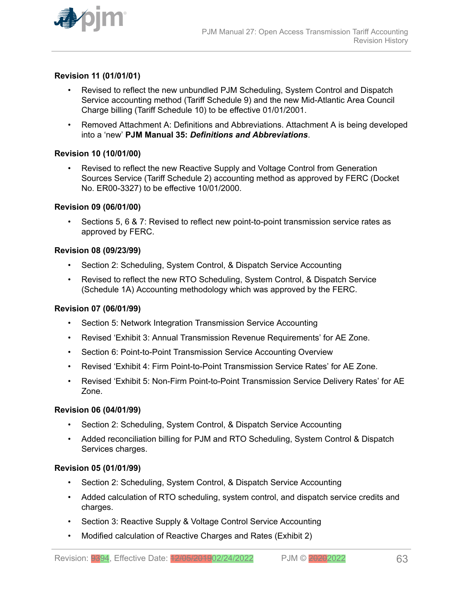

### **Revision 11 (01/01/01)**

- Revised to reflect the new unbundled PJM Scheduling, System Control and Dispatch Service accounting method (Tariff Schedule 9) and the new Mid-Atlantic Area Council Charge billing (Tariff Schedule 10) to be effective 01/01/2001.
- Removed Attachment A: Definitions and Abbreviations. Attachment A is being developed into a 'new' **PJM Manual 35:** *Definitions and Abbreviations*.

#### **Revision 10 (10/01/00)**

• Revised to reflect the new Reactive Supply and Voltage Control from Generation Sources Service (Tariff Schedule 2) accounting method as approved by FERC (Docket No. ER00-3327) to be effective 10/01/2000.

#### **Revision 09 (06/01/00)**

• Sections 5, 6 & 7: Revised to reflect new point-to-point transmission service rates as approved by FERC.

#### **Revision 08 (09/23/99)**

- Section 2: Scheduling, System Control, & Dispatch Service Accounting
- Revised to reflect the new RTO Scheduling, System Control, & Dispatch Service (Schedule 1A) Accounting methodology which was approved by the FERC.

#### **Revision 07 (06/01/99)**

- Section 5: Network Integration Transmission Service Accounting
- Revised 'Exhibit 3: Annual Transmission Revenue Requirements' for AE Zone.
- Section 6: Point-to-Point Transmission Service Accounting Overview
- Revised 'Exhibit 4: Firm Point-to-Point Transmission Service Rates' for AE Zone.
- Revised 'Exhibit 5: Non-Firm Point-to-Point Transmission Service Delivery Rates' for AE Zone.

#### **Revision 06 (04/01/99)**

- Section 2: Scheduling, System Control, & Dispatch Service Accounting
- Added reconciliation billing for PJM and RTO Scheduling, System Control & Dispatch Services charges.

#### **Revision 05 (01/01/99)**

- Section 2: Scheduling, System Control, & Dispatch Service Accounting
- Added calculation of RTO scheduling, system control, and dispatch service credits and charges.
- Section 3: Reactive Supply & Voltage Control Service Accounting
- Modified calculation of Reactive Charges and Rates (Exhibit 2)